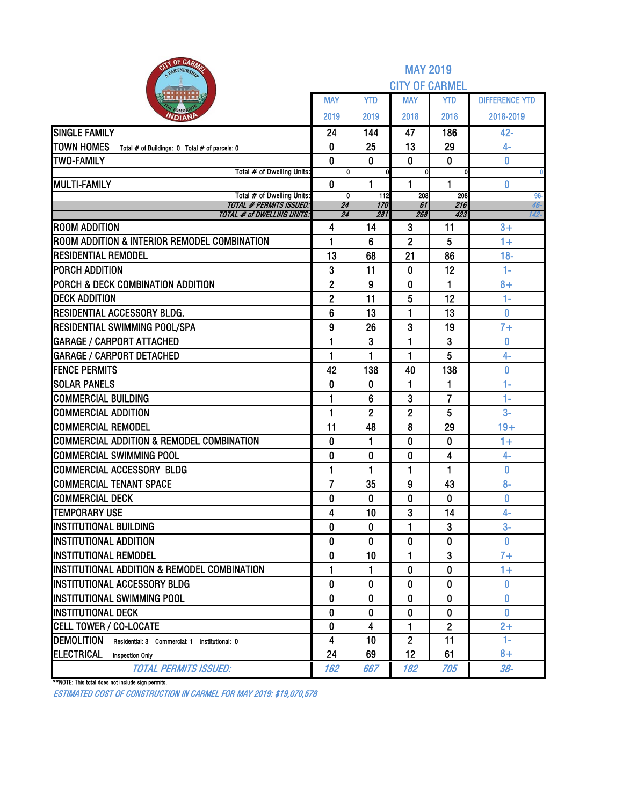| <b>BITY OF CARAZE</b><br>PARTNERSH                                   |                     |                | <b>MAY 2019</b>       |                |                       |
|----------------------------------------------------------------------|---------------------|----------------|-----------------------|----------------|-----------------------|
|                                                                      |                     |                | <b>CITY OF CARMEL</b> |                |                       |
|                                                                      | MAY                 | <b>YTD</b>     | <b>MAY</b>            | <b>YTD</b>     | <b>DIFFERENCE YTD</b> |
| OMOP<br><b>NDIAN</b>                                                 | 2019                | 2019           | 2018                  | 2018           | 2018-2019             |
| <b>SINGLE FAMILY</b>                                                 | 24                  | 144            | 47                    | 186            | $42 -$                |
| <b>TOWN HOMES</b><br>Total # of Buildings: 0 Total # of parcels: 0   | 0                   | 25             | 13                    | 29             | $4-$                  |
| <b>TWO-FAMILY</b>                                                    | $\bf{0}$            | 0              | $\mathbf{0}$          | $\bf{0}$       | 0                     |
| Total # of Dwelling Units:                                           | 0                   |                | 0                     |                | 0                     |
| <b>MULTI-FAMILY</b><br>Total # of Dwelling Units:                    | $\mathbf{0}$<br>0   | 1<br>112       | 1<br>208              | 1<br>208       | 0<br>96-              |
| <b>TOTAL # PERMITS ISSUED:</b>                                       | $\overline{24}$     | 170            | 61                    | 216            | 46-                   |
| <b>TOTAL # of DWELLING UNITS:</b>                                    | 24                  | 281            | 268                   | 423            | 142-                  |
| <b>ROOM ADDITION</b><br>ROOM ADDITION & INTERIOR REMODEL COMBINATION | 4<br>1              | 14<br>6        | 3<br>$\overline{c}$   | 11<br>5        | $3+$<br>$1+$          |
| <b>RESIDENTIAL REMODEL</b>                                           |                     |                |                       |                |                       |
| <b>PORCH ADDITION</b>                                                | 13                  | 68<br>11       | 21<br>0               | 86<br>12       | $18 -$<br>$1 -$       |
| PORCH & DECK COMBINATION ADDITION                                    | 3<br>$\overline{2}$ | 9              | 0                     | 1              | $8+$                  |
| <b>DECK ADDITION</b>                                                 | $\mathbf{2}$        | 11             | 5                     | 12             | 1-                    |
| <b>RESIDENTIAL ACCESSORY BLDG.</b>                                   | 6                   | 13             | 1                     | 13             | Ō                     |
| <b>RESIDENTIAL SWIMMING POOL/SPA</b>                                 | 9                   | 26             | 3                     | 19             | $7+$                  |
| <b>GARAGE / CARPORT ATTACHED</b>                                     | 1                   | 3              | 1                     | 3              | 0                     |
| <b>GARAGE / CARPORT DETACHED</b>                                     | 1                   | 1              | 1                     | 5              | $4-$                  |
| <b>FENCE PERMITS</b>                                                 | 42                  | 138            | 40                    | 138            | 0                     |
| <b>SOLAR PANELS</b>                                                  | $\bf{0}$            | 0              | 1                     | 1              | $1 -$                 |
| <b>COMMERCIAL BUILDING</b>                                           | 1                   | 6              | 3                     | $\overline{7}$ | $1-$                  |
| <b>COMMERCIAL ADDITION</b>                                           | 1                   | $\overline{2}$ | $\overline{2}$        | 5              | $3-$                  |
| <b>COMMERCIAL REMODEL</b>                                            | 11                  | 48             | 8                     | 29             | $19+$                 |
| <b>COMMERCIAL ADDITION &amp; REMODEL COMBINATION</b>                 | 0                   | 1              | 0                     | 0              | $1+$                  |
| <b>COMMERCIAL SWIMMING POOL</b>                                      | 0                   | 0              | 0                     | 4              | 4-                    |
| COMMERCIAL ACCESSORY BLDG                                            | 1                   | 1              | 1                     | 1              | Ō                     |
| <b>COMMERCIAL TENANT SPACE</b>                                       | $\overline{7}$      | 35             | 9                     | 43             | $8-$                  |
| <b>COMMERCIAL DECK</b>                                               | 0                   | 0              | 0                     | 0              | 0                     |
| <b>TEMPORARY USE</b>                                                 | 4                   | 10             | 3                     | 14             | $4-$                  |
| <b>INSTITUTIONAL BUILDING</b>                                        | 0                   | $\bf{0}$       | 1                     | 3              | $3-$                  |
| <b>INSTITUTIONAL ADDITION</b>                                        | 0                   | 0              | 0                     | 0              | $\bf{0}$              |
| <b>INSTITUTIONAL REMODEL</b>                                         | $\mathbf{0}$        | 10             | 1                     | 3              | $7+$                  |
| IINSTITUTIONAL ADDITION & REMODEL COMBINATION                        | 1                   | 1              | 0                     | 0              | $1+$                  |
| <b>IINSTITUTIONAL ACCESSORY BLDG</b>                                 | 0                   | 0              | 0                     | 0              | $\bf{0}$              |
| <b>INSTITUTIONAL SWIMMING POOL</b>                                   | $\mathbf{0}$        | $\mathbf{0}$   | $\Omega$              | 0              | 0                     |
| <b>INSTITUTIONAL DECK</b>                                            | 0                   | 0              | 0                     | 0              | 0                     |
| <b>CELL TOWER / CO-LOCATE</b>                                        | 0                   | 4              | 1                     | $\mathbf{2}$   | $2+$                  |
| <b>DEMOLITION</b><br>Residential: 3 Commercial: 1 Institutional: 0   | $\overline{4}$      | 10             | $\overline{2}$        | 11             | $1 -$                 |
| ELECTRICAL<br><b>Inspection Only</b>                                 | 24                  | 69             | 12                    | 61             | $8+$                  |
| <b>TOTAL PERMITS ISSUED:</b>                                         | 162                 | 667            | 182                   | 705            | $38-$                 |

\*\*NOTE: This total does not include sign permits.

ESTIMATED COST OF CONSTRUCTION IN CARMEL FOR MAY 2019: \$19,070,578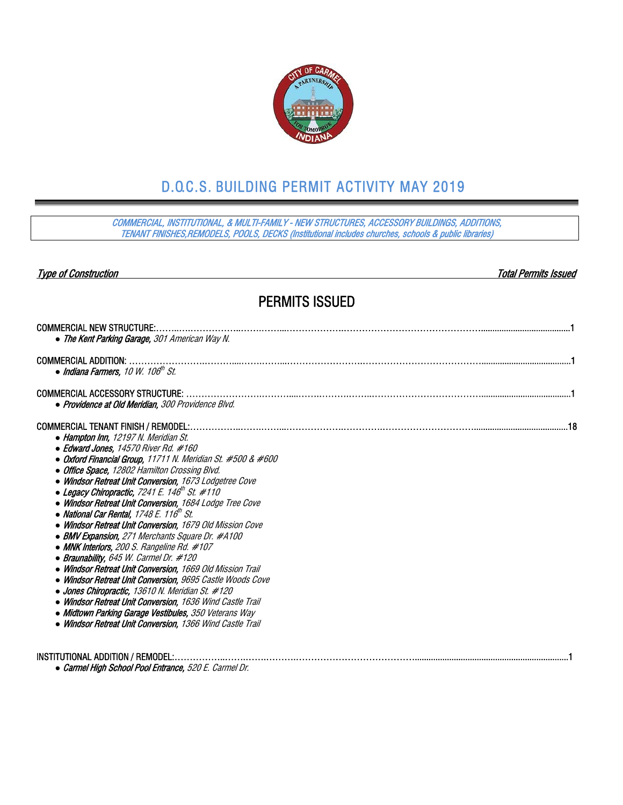

## D.O.C.S. BUILDING PERMIT ACTIVITY MAY 2019

COMMERCIAL, INSTITUTIONAL, & MULTI-FAMILY - NEW STRUCTURES, ACCESSORY BUILDINGS, ADDITIONS, TENANT FINISHES,REMODELS, POOLS, DECKS (Institutional includes churches, schools & public libraries)

#### Type of Construction Total Permits Issued

## PERMITS ISSUED

| <b>COMMERCIAL NEW STRUCTURE:.</b>                                                                                                                                                                                                                                                                                                                                                                                                                                                                                                                                                                                                                                                                                                                                                                                                                                                                                                                                                                                                                      |
|--------------------------------------------------------------------------------------------------------------------------------------------------------------------------------------------------------------------------------------------------------------------------------------------------------------------------------------------------------------------------------------------------------------------------------------------------------------------------------------------------------------------------------------------------------------------------------------------------------------------------------------------------------------------------------------------------------------------------------------------------------------------------------------------------------------------------------------------------------------------------------------------------------------------------------------------------------------------------------------------------------------------------------------------------------|
| • The Kent Parking Garage, 301 American Way N.                                                                                                                                                                                                                                                                                                                                                                                                                                                                                                                                                                                                                                                                                                                                                                                                                                                                                                                                                                                                         |
| <b>COMMERCIAL ADDITION:</b><br>• Indiana Farmers, 10 W. 106 <sup>th</sup> St.                                                                                                                                                                                                                                                                                                                                                                                                                                                                                                                                                                                                                                                                                                                                                                                                                                                                                                                                                                          |
| • Providence at Old Meridian. 300 Providence Blvd.                                                                                                                                                                                                                                                                                                                                                                                                                                                                                                                                                                                                                                                                                                                                                                                                                                                                                                                                                                                                     |
| COMMERCIAL TENANT FINISH / REMODEL:.<br>• Hampton Inn. 12197 N. Meridian St.<br>• Edward Jones, 14570 River Rd. #160<br>• Oxford Financial Group, 11711 N. Meridian St. #500 & #600<br>• Office Space, 12802 Hamilton Crossing Blvd.<br>• Windsor Retreat Unit Conversion, 1673 Lodgetree Cove<br>• Legacy Chiropractic, 7241 E. 146 <sup>th</sup> St. #110<br>• Windsor Retreat Unit Conversion, 1684 Lodge Tree Cove<br>• National Car Rental, 1748 E. 116 <sup>th</sup> St.<br>• Windsor Retreat Unit Conversion, 1679 Old Mission Cove<br>• BMV Expansion, 271 Merchants Square Dr. #A100<br>• MNK Interiors, 200 S. Rangeline Rd. #107<br>• Braunability, 645 W. Carmel Dr. #120<br>• Windsor Retreat Unit Conversion, 1669 Old Mission Trail<br>• Windsor Retreat Unit Conversion, 9695 Castle Woods Cove<br>• Jones Chiropractic, 13610 N. Meridian St. #120<br>• Windsor Retreat Unit Conversion, 1636 Wind Castle Trail<br>• Midtown Parking Garage Vestibules, 350 Veterans Way<br>• Windsor Retreat Unit Conversion, 1366 Wind Castle Trail |
| INSTITUTIONAL ADDITION / REMODEL:.<br>• Carmel High School Pool Entrance, 520 E. Carmel Dr.                                                                                                                                                                                                                                                                                                                                                                                                                                                                                                                                                                                                                                                                                                                                                                                                                                                                                                                                                            |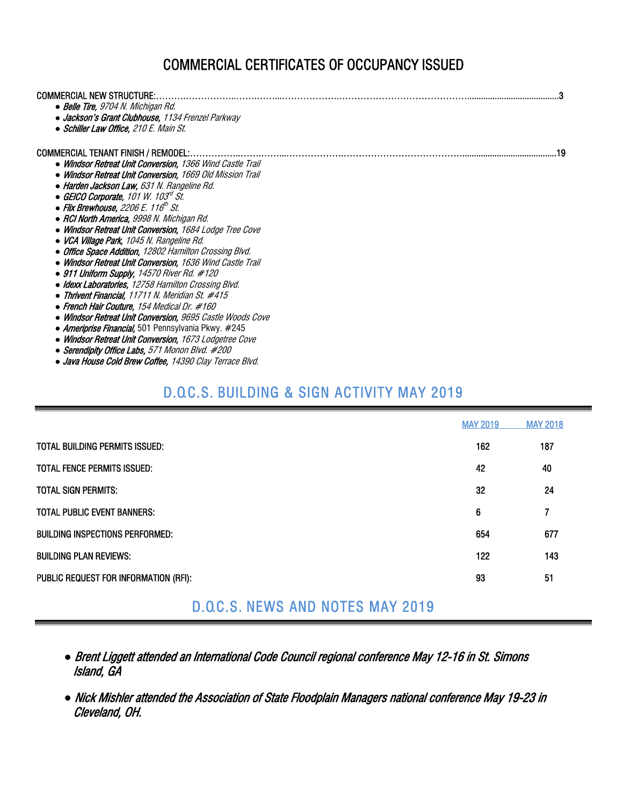## COMMERCIAL CERTIFICATES OF OCCUPANCY ISSUED

| COMMERCIAL NEW STRUCTURE:                                 |  |
|-----------------------------------------------------------|--|
| • Belle Tire, 9704 N. Michigan Rd.                        |  |
| • Jackson's Grant Clubhouse, 1134 Frenzel Parkway         |  |
| • Schiller Law Office, 210 E. Main St.                    |  |
|                                                           |  |
| COMMERCIAL TENANT FINISH / REMODEL:.                      |  |
| • Windsor Retreat Unit Conversion, 1366 Wind Castle Trail |  |
| • Windsor Retreat Unit Conversion. 1669 Old Mission Trail |  |
| • Harden Jackson Law. 631 N. Rangeline Rd.                |  |
| • GEICO Corporate, 101 W. 103 $\sigma$ St.                |  |
| • Flix Brewhouse, 2206 E. 116 <sup>th</sup> St.           |  |
| • RCI North America, 9998 N. Michigan Rd.                 |  |
| • Windsor Retreat Unit Conversion. 1684 Lodge Tree Cove   |  |
| • VCA Village Park, 1045 N. Rangeline Rd.                 |  |
| • Office Space Addition, 12802 Hamilton Crossing Blvd.    |  |
| • Windsor Retreat Unit Conversion, 1636 Wind Castle Trail |  |
| $\bullet$ 911 Uniform Supply, 14570 River Rd. #120        |  |
| • Idexx Laboratories. 12758 Hamilton Crossing Blvd.       |  |
| • Thrivent Financial, 11711 N. Meridian St. #415          |  |
| • French Hair Couture, 154 Medical Dr. #160               |  |
| • Windsor Retreat Unit Conversion, 9695 Castle Woods Cove |  |
| • Ameriprise Financial, 501 Pennsylvania Pkwy. #245       |  |
| • Windsor Retreat Unit Conversion, 1673 Lodgetree Cove    |  |
| • Serendipity Office Labs. 571 Monon Blvd. #200           |  |

#### *●* Java House Cold Brew Coffee, 14390 Clay Terrace Blvd.

## D.O.C.S. BUILDING & SIGN ACTIVITY MAY 2019

|                                         | <b>MAY 2019</b> | <b>MAY 2018</b> |
|-----------------------------------------|-----------------|-----------------|
| <b>TOTAL BUILDING PERMITS ISSUED:</b>   | 162             | 187             |
| TOTAL FENCE PERMITS ISSUED:             | 42              | 40              |
| <b>TOTAL SIGN PERMITS:</b>              | 32              | 24              |
| <b>TOTAL PUBLIC EVENT BANNERS:</b>      | 6               | 7               |
| <b>BUILDING INSPECTIONS PERFORMED:</b>  | 654             | 677             |
| <b>BUILDING PLAN REVIEWS:</b>           | 122             | 143             |
| PUBLIC REQUEST FOR INFORMATION (RFI):   | 93              | 51              |
| <b>D.O.C.S. NEWS AND NOTES MAY 2019</b> |                 |                 |

### *●* Brent Liggett attended an International Code Council regional conference May 12-16 in St. Simons Island, GA

*●* Nick Mishler attended the Association of State Floodplain Managers national conference May 19-23 in Cleveland, OH.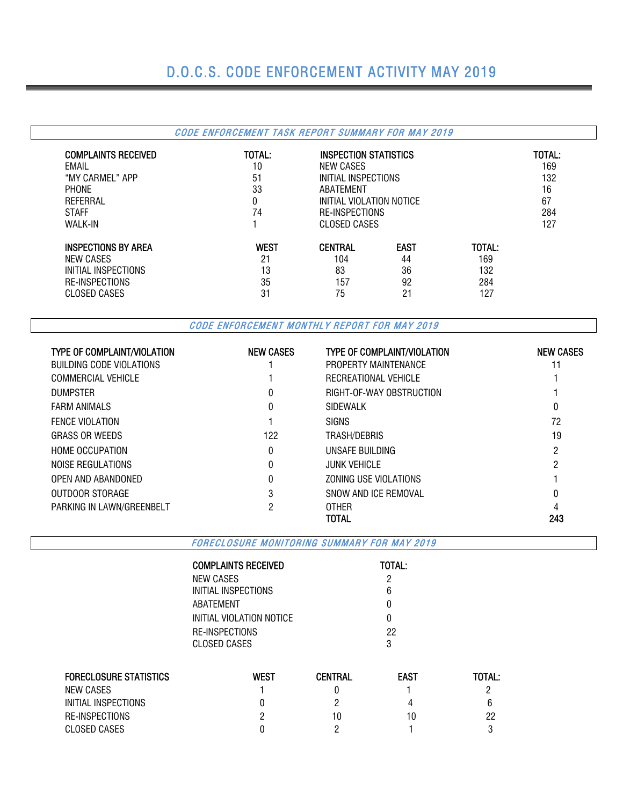# D.O.C.S. CODE ENFORCEMENT ACTIVITY MAY 2019

### CODE ENFORCEMENT TASK REPORT SUMMARY FOR MAY 2019

| <b>COMPLAINTS RECEIVED</b><br>EMAIL<br>"MY CARMEL" APP<br><b>PHONE</b><br>REFERRAL<br><b>STAFF</b><br><b>WALK-IN</b> | TOTAL:<br>10<br>51<br>33<br>0<br>74 | NEW CASES<br>ABATEMENT | <b>INSPECTION STATISTICS</b><br>INITIAL INSPECTIONS<br>INITIAL VIOLATION NOTICE<br>RE-INSPECTIONS<br>CLOSED CASES |        |     |  |  |  |
|----------------------------------------------------------------------------------------------------------------------|-------------------------------------|------------------------|-------------------------------------------------------------------------------------------------------------------|--------|-----|--|--|--|
| <b>INSPECTIONS BY AREA</b>                                                                                           | <b>WEST</b>                         | <b>CENTRAL</b>         | <b>EAST</b>                                                                                                       | TOTAL: | 127 |  |  |  |
| NEW CASES                                                                                                            | 21                                  | 104                    | 44                                                                                                                | 169    |     |  |  |  |
| INITIAL INSPECTIONS                                                                                                  | 13                                  | 83                     | 36                                                                                                                | 132    |     |  |  |  |
| RE-INSPECTIONS                                                                                                       | 35                                  | 157                    | 92                                                                                                                | 284    |     |  |  |  |
| CLOSED CASES                                                                                                         | 31                                  | 75                     | 21                                                                                                                | 127    |     |  |  |  |

CODE ENFORCEMENT MONTHLY REPORT FOR MAY 2019

| <b>TYPE OF COMPLAINT/VIOLATION</b> | <b>NEW CASES</b> | <b>TYPE OF COMPLAINT/VIOLATION</b> | <b>NEW CASES</b> |
|------------------------------------|------------------|------------------------------------|------------------|
| BUILDING CODE VIOLATIONS           |                  | PROPERTY MAINTENANCE               |                  |
| COMMERCIAL VEHICLE                 |                  | RECREATIONAL VEHICLE               |                  |
| <b>DUMPSTER</b>                    | 0                | RIGHT-OF-WAY OBSTRUCTION           |                  |
| <b>FARM ANIMALS</b>                | 0                | <b>SIDEWALK</b>                    | 0                |
| <b>FENCE VIOLATION</b>             |                  | <b>SIGNS</b>                       | 72               |
| <b>GRASS OR WEEDS</b>              | 122              | TRASH/DEBRIS                       | 19               |
| <b>HOME OCCUPATION</b>             | 0                | UNSAFE BUILDING                    | 2                |
| NOISE REGULATIONS                  | 0                | <b>JUNK VEHICLE</b>                | റ                |
| OPEN AND ABANDONED                 | 0                | ZONING USE VIOLATIONS              |                  |
| OUTDOOR STORAGE                    | 3                | SNOW AND ICE REMOVAL               |                  |
| PARKING IN LAWN/GREENBELT          |                  | <b>OTHER</b>                       |                  |
|                                    |                  | TOTAL                              | 243              |

FORECLOSURE MONITORING SUMMARY FOR MAY 2019

| <b>TOTAL:</b> |
|---------------|
| 2             |
| 6             |
| O             |
| O             |
| 22            |
| 3             |
|               |

| <b>FORECLOSURE STATISTICS</b> | West | <b>CENTRAL</b> | <b>EAST</b> | <b>TOTAL:</b> |
|-------------------------------|------|----------------|-------------|---------------|
| NEW CASES                     |      |                |             |               |
| INITIAL INSPECTIONS           |      |                |             | b             |
| RE-INSPECTIONS                |      | 10             | 10          | 22            |
| CLOSED CASES                  |      |                |             |               |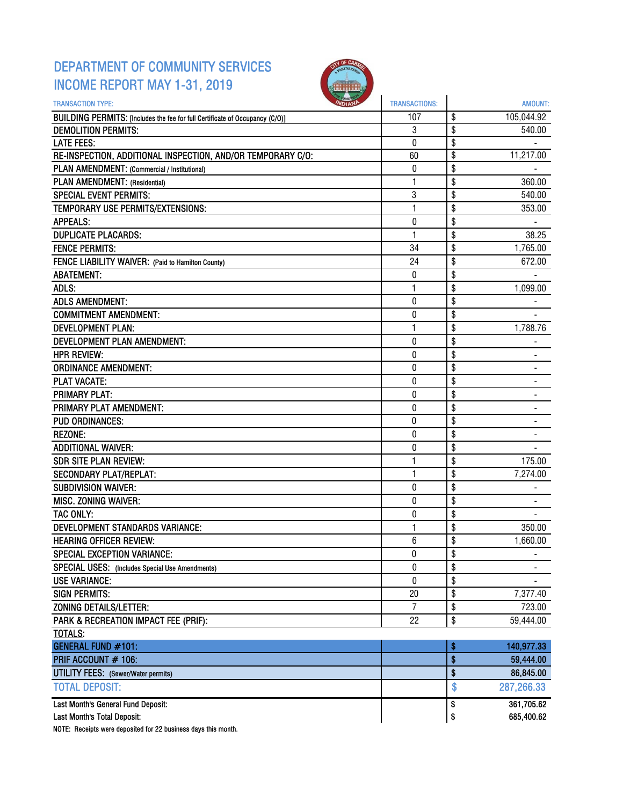### DEPARTMENT OF COMMUNITY SERVICES INCOME REPORT MAY 1-31, 2019



| <b>TRANSACTION TYPE:</b>                                                     | <b>TRANSACTIONS:</b> | <b>AMOUNT:</b>                 |
|------------------------------------------------------------------------------|----------------------|--------------------------------|
| BUILDING PERMITS: [Includes the fee for full Certificate of Occupancy (C/O)] | 107                  | \$<br>105,044.92               |
| <b>DEMOLITION PERMITS:</b>                                                   | 3                    | \$<br>540.00                   |
| <b>LATE FEES:</b>                                                            | 0                    | \$                             |
| RE-INSPECTION, ADDITIONAL INSPECTION, AND/OR TEMPORARY C/O:                  | 60                   | \$<br>11,217.00                |
| PLAN AMENDMENT: (Commercial / Institutional)                                 | 0                    | \$                             |
| PLAN AMENDMENT: (Residential)                                                | 1                    | \$<br>360.00                   |
| <b>SPECIAL EVENT PERMITS:</b>                                                | 3                    | \$<br>540.00                   |
| TEMPORARY USE PERMITS/EXTENSIONS:                                            | 1                    | \$<br>353.00                   |
| <b>APPEALS:</b>                                                              | 0                    | \$                             |
| <b>DUPLICATE PLACARDS:</b>                                                   | $\mathbf{1}$         | \$<br>38.25                    |
| <b>FENCE PERMITS:</b>                                                        | 34                   | \$<br>1,765.00                 |
| FENCE LIABILITY WAIVER: (Paid to Hamilton County)                            | 24                   | \$<br>672.00                   |
| <b>ABATEMENT:</b>                                                            | 0                    | \$                             |
| ADLS:                                                                        | 1                    | \$<br>1,099.00                 |
| <b>ADLS AMENDMENT:</b>                                                       | 0                    | \$                             |
| <b>COMMITMENT AMENDMENT:</b>                                                 | $\boldsymbol{0}$     | \$                             |
| <b>DEVELOPMENT PLAN:</b>                                                     | $\mathbf{1}$         | \$<br>1,788.76                 |
| DEVELOPMENT PLAN AMENDMENT:                                                  | $\bf{0}$             | \$                             |
| <b>HPR REVIEW:</b>                                                           | 0                    | \$                             |
| <b>ORDINANCE AMENDMENT:</b>                                                  | 0                    | \$                             |
| <b>PLAT VACATE:</b>                                                          | $\mathbf{0}$         | \$                             |
| <b>PRIMARY PLAT:</b>                                                         | 0                    | \$                             |
| PRIMARY PLAT AMENDMENT:                                                      | 0                    | \$                             |
| <b>PUD ORDINANCES:</b>                                                       | $\bf{0}$             | \$                             |
| <b>REZONE:</b>                                                               | $\pmb{0}$            | \$                             |
| <b>ADDITIONAL WAIVER:</b>                                                    | 0                    | \$                             |
| <b>SDR SITE PLAN REVIEW:</b>                                                 | 1                    | \$<br>175.00                   |
| <b>SECONDARY PLAT/REPLAT:</b>                                                | $\mathbf{1}$         | \$<br>7,274.00                 |
| <b>SUBDIVISION WAIVER:</b>                                                   | $\bf{0}$             | \$                             |
| MISC. ZONING WAIVER:                                                         | 0                    | \$                             |
| TAC ONLY:                                                                    | 0                    | \$                             |
| <b>DEVELOPMENT STANDARDS VARIANCE:</b>                                       | 1                    | \$<br>350.00                   |
| <b>HEARING OFFICER REVIEW:</b>                                               | 6                    | \$<br>1,660.00                 |
| SPECIAL EXCEPTION VARIANCE:                                                  | 0                    | \$<br>$\overline{\phantom{a}}$ |
| <b>SPECIAL USES:</b> (Includes Special Use Amendments)                       | 0                    | \$                             |
| <b>USE VARIANCE:</b>                                                         | $\pmb{0}$            | \$                             |
| <b>SIGN PERMITS:</b>                                                         | 20                   | \$<br>7,377.40                 |
| ZONING DETAILS/LETTER:                                                       | $\overline{I}$       | \$<br>723.00                   |
| PARK & RECREATION IMPACT FEE (PRIF):                                         | 22                   | \$<br>59,444.00                |
| TOTALS:                                                                      |                      |                                |
| <b>GENERAL FUND #101:</b>                                                    |                      | \$<br>140,977.33               |
| PRIF ACCOUNT # 106:                                                          |                      | \$<br>59,444.00                |
| <b>UTILITY FEES:</b> (Sewer/Water permits)                                   |                      | \$<br>86,845.00                |
| <b>TOTAL DEPOSIT:</b>                                                        |                      | \$<br>287,266.33               |
|                                                                              |                      |                                |
| Last Month's General Fund Deposit:                                           |                      | \$<br>361,705.62               |
| Last Month's Total Deposit:                                                  |                      | \$<br>685,400.62               |

NOTE: Receipts were deposited for 22 business days this month.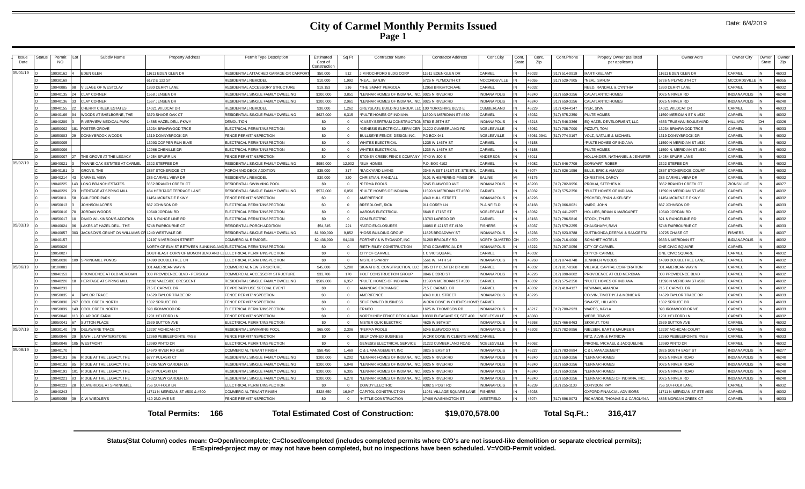| Issue    | <b>Status</b> | Permit    | Subdiv Name                                     | <b>Property Address</b>                                          | Permit Type Description                | Estimated               | Sq Ft             | <b>Contractor Name</b>                       | <b>Contractor Address</b>        | Cont.City           | Cont. | Cont.      | Cont.Phone     | Propety Owner (as listed           | Owner Adrs                    | Owner City                    | <b>Owner</b> | Owner |
|----------|---------------|-----------|-------------------------------------------------|------------------------------------------------------------------|----------------------------------------|-------------------------|-------------------|----------------------------------------------|----------------------------------|---------------------|-------|------------|----------------|------------------------------------|-------------------------------|-------------------------------|--------------|-------|
| Date     |               | <b>NO</b> |                                                 |                                                                  |                                        | Cost of<br>Construction |                   |                                              |                                  |                     | State | Zip        |                | per applicant)                     |                               |                               | State        | Zip   |
| 05/01/19 |               | 9030162   | <b>EDEN GLEN</b>                                | 11611 EDEN GLEN DR                                               | RESIDENTIAL ATTACHED GARAGE OR CARPORT | \$50,000                | 912               | JIM ROCHFORD BLDG CORP                       | 1611 EDEN GLEN DR                | CARMEL              |       | 46033      | 317) 514-0919  | MARTIKKE, AMY                      | 11611 EDEN GLEN DR            | CARMEL                        |              | 46033 |
|          |               | 9030169   |                                                 | 6172 E 122 ST                                                    | <b>RESIDENTIAL REMODEL</b>             | \$10,000                | 1,992             | *NEAL, SANJIV                                | 5726 N PLYMOUTH CT               | <b>MCCORDSVILLE</b> |       | 46055      | 317) 529-7905  | *NEAL, SANJIV                      | 5726 N PLYMOUTH CT            | <b>MCCORDSVILLE</b>           |              | 46055 |
|          |               | 19040085  | VILLAGE OF WESTCLAY                             | 1830 DERRY LANE                                                  | RESIDENTIAL ACCESSORY STRUCTURE        | \$19,153                | 216               | THE SMART PERGOLA                            | 12958 BRIGHTON AVE               | CARMEL              |       | 46032      |                | REED, RANDALL & CYNTHIA            | 1830 DERRY LANE               | CARMEL                        |              | 16032 |
|          |               | 19040135  | <b>CLAY CORNER</b>                              | 1558 JENSEN DR                                                   | RESIDENTIAL SINGLE FAMILY DWELLING     | \$200,000               | 3.851             | *LENNAR HOMES OF INDIANA, INC.               | 9025 N RIVER RD                  | <b>INDIANAPOLIS</b> |       | 46240      | (317) 659-3256 | CALATLANTIC HOMES                  | 9025 N RIVER RD               | <b>INDIANAPOLIS</b>           |              | 46240 |
|          |               | 19040136  | <b>CLAY CORNER</b>                              | 1567 JENSEN DR                                                   | RESIDENTIAL SINGLE FAMILY DWELLING     | \$200,000               | 2.961             | <b>I FNNAR HOMES OF INDIANA INC.</b>         | 9025 N RIVER RD                  | <b>INDIANAPOLIS</b> |       | 46240      | (317) 659-3256 | CALATLANTIC HOMES                  | 9025 N RIVER RD               | <b>INDIANAPOLIS</b>           |              | 46240 |
|          |               | 19040155  | <b>CHERRY CREEK ESTATES</b>                     | 14021 WILDCAT DR                                                 | <b>RESIDENTIAL REMODEL</b>             | \$30,000                | 1.262             | GREYSLATE BUILDING GROUP, LLO                | 100 YORKSHIRE BLVD E             | CUMBERLAND          |       | 46229      | (317) 434-4347 | IYER, SIVA                         | 14021 WILDCAT DR              | CARMEL                        |              | 46033 |
|          |               | 19040166  | WOODS AT SHELBORNE. THE                         | 3370 SHADE OAK CT                                                | RESIDENTIAL SINGLE FAMILY DWELLING     | \$627,000               | 6,315             | *PULTE HOMES OF INDIANA                      | 1590 N MERIDIAN ST #530          | CARMEL              |       | 46032      | (317) 575-2350 | PULTE HOMES                        | 11590 MERIDIAN ST N #530      | CARMEL                        |              | 46032 |
|          |               | 9040209   | <b>RIVERVIEW MEDICAL PARK</b>                   | 14585 HAZEL DELL PKWY                                            | <b>DEMOLITION</b>                      | \$0                     | $\Omega$          | *CASEY-BERTRAM CONSTRUCTION                  | 5780 E 25TH ST                   | <b>INDIANAPOLIS</b> |       | 46218      | (317) 546-3366 | EQ HAZEL DEVELOPMENT, LLC          | <b>1653 TRUEMAN BOULEVARD</b> | HILLIARD                      |              | 13026 |
|          |               | 19050002  | <b>FOSTER GROVE</b>                             | 13234 BRIARWOOD TRCE                                             | ELECTRICAL PERMIT/INSPECTION           | \$0                     | $\Omega$          | *GENESIS ELECTRICAL SERVICER                 | 21222 CUMBERLAND RD              | NOBLESVILLE         |       | 46062      | (317) 708-7000 | PIZZUTI. TOM                       | 13234 BRIARWOOD TRCE          | CARMEI                        |              | 46033 |
|          |               | 19050003  | DONNYBROOK WOODS                                | 1319 DONNYBROOK DR                                               | <b>FENCE PERMIT/INSPECTION</b>         | \$0                     | $\Omega$          | BULLSEYE FENCE DESIGN INC.                   | PO BOX 941                       | NOBLESVILLE         |       | 46061-0941 | (317) 774-0197 | <b>VOLZ, NATALIE &amp; MICHAEL</b> | 1319 DONNYBROOK DR            | CARMEL                        |              | 46032 |
|          |               | 19050005  |                                                 | 13093 COPPER RUN BLVE                                            | ELECTRICAL PERMIT/INSPECTION           | \$0                     | $\Omega$          | <b>WHITES ELECTRICAL</b>                     | 1235 W 146TH ST                  | CARMEL              |       | 46158      |                | *PULTE HOMES OF INDIANA            | 11590 N MERIDIAN ST #530      | CARMEL                        |              | 46032 |
|          |               | 19050006  |                                                 | 12966 CHENILLE DR                                                | ELECTRICAL PERMIT/INSPECTION           | \$0                     | $\Omega$          | <b>WHITES ELECTRICAL</b>                     | 1235 W 146TH ST                  | CARMEL              |       | 46158      |                | PULTE HOMES                        | 11590 N. MERIDIAN ST #530     | CARMEL                        |              | 46032 |
|          |               | 9050007   | THE GROVE AT THE LEGACY                         | 14254 SPURR LN                                                   | <b>FENCE PERMIT/INSPECTION</b>         | \$0                     |                   | STONEY CREEK FENCE COMPANY 4740 W 300 S      |                                  | ANDERSON            |       | 46011      |                | HOLLANDER, NATHANIEL & JENNIFER    | 14254 SPURR LANE              | CARMEL                        |              | 46033 |
| 05/02/19 |               | 9040021   | TOWNE OAK ESTATES AT CARMEL                     | 2322 STEFFEE DR                                                  | RESIDENTIAL SINGLE FAMILY DWELLING     | \$989,000               | 12.902            | *SLM HOMES                                   | P.O. BOX 4102                    | CARMEL              |       | 46082      | 317) 846-7709  | DORWART, ROBER                     | 2322 STEFEE DR                | CARMEL                        |              | 46032 |
|          |               | 9040181   | <b>GROVE, THE</b>                               | 2867 STONERIDGE CT                                               | PORCH AND DECK ADDITION                | \$35,000                | 317               | <b>BACKYARD LIVING</b>                       | 2345 WEST 141ST ST. STE BY       | CARMEL              |       | 46074      | 317) 826-1956  | BULS, ERIC & AMANDA                | 2867 STONERIDGE COURT         | CARMEI                        |              | 16032 |
|          |               | 19040214  | CARMEL VIEW                                     | 285 CARMEL VIEW DR                                               | <b>RESIDENTIAL REMODEL</b>             | \$30,000                | 320               | CHRISTIAN, RANDALI                           | 9101 WHISPERING PINES DR         | SALINE              |       | 48176      |                | CHRISTIAN, DARCY                   | 285 CARMEL VIEW DR            | CARMEL                        |              | 46032 |
|          |               | 19040225  | <b>LONG BRANCH ESTATES</b>                      | 3852 BRANCH CREEK CT                                             | RESIDENTIAL SWIMMING POOL              | \$0                     | $\Omega$          | *PERMA POOLS                                 | 5245 ELMWOOD AVE                 | <b>INDIANAPOLIS</b> |       | 46203      | (317) 782-9956 | PROKAI, STEPHEN K                  | 3852 BRANCH CREEK CT          | ZIONSVILLE                    |              | 46077 |
|          |               | 19040229  | <b>HERITAGE AT SPRING MILL</b>                  | 464 HERITAGE TERRACE LANE                                        | RESIDENTIAL SINGLE FAMILY DWELLING     | \$572,000               | 6.056             | *PULTE HOMES OF INDIANA                      | 1590 N MERIDIAN ST #530          | CARMEL              |       | 46032      | (317) 575-2350 | *PULTE HOMES OF INDIANA            | 11590 N MERIDIAN ST #530      | CARMEL                        |              | 46032 |
|          |               | 19050011  | <b>GUILFORD PARK</b>                            | 11454 MCKENZIE PKWY                                              | FENCE PERMIT/INSPECTION                | \$0                     | $\Omega$          | AMERIFENCE                                   | 4340 HULL STREET                 | <b>INDIANAPOLIS</b> |       | 46226      |                | PSCHEID, RYAN & KELSEY             | 11454 MCKENZIE PKWY           | CARMEL                        |              | 46032 |
|          |               | 9050013   | <b>JOHNSON ACRES</b>                            | 667 JOHNSON DR                                                   | ELECTRICAL PERMIT/INSPECTION           | \$0                     | $\Omega$          | BREEDLOVE, RICK                              | 911 COREY LN                     | PLAINFIELD          |       | 46168      | (317) 966-8021 | VAIRO, JOHN                        | 667 JOHNSON DR                | CARMEL                        |              | 16033 |
|          |               | 9050016   | <b>JORDAN WOODS</b>                             | 10640 JORDAN RD                                                  | ELECTRICAL PERMIT/INSPECTION           | \$0                     | $\Omega$          | AARONS ELECTRICAL                            | 6648 E 171ST ST                  | NOBLESVILLE         |       | 46062      | (317) 441-2957 | HOLLIES, BRIAN & MARGARET          | 10640 JORDAN RD               | CARMEL                        |              | 16032 |
|          |               | 905001    | DAVID WILKINSON'S ADDITION                      | 321 N RANGE LINE RD                                              | ELECTRICAL PERMIT/INSPECTION           | \$0                     | $\Omega$          | <b>CDM ELECTRIC</b>                          | 13763 LAREDO DF                  | CARMEL              |       | 46163      | (317) 796-5816 | STOCK. TYLER                       | 321 N RANGELINE RD            | CARMEL                        |              | 46032 |
| 05/03/19 |               | 19040024  | LAKES AT HAZEL DELL. THE                        | 5748 FAIRBOURNE CT                                               | RESIDENTIAL PORCH ADDITION             | \$54,345                | 221               | *PATIO ENCLOSURES                            | 10080 E 121ST ST #139            | <b>FISHERS</b>      |       | 46037      | (317) 579-2255 | CHAUDHARY, RAVI                    | 5748 FAIRBOURNE CT            | CARMEL                        |              | 46033 |
|          |               | 19040057  | JACKSON'S GRANT ON WILLIAMS CR 1240 WESTVALE DR |                                                                  | RESIDENTIAL SINGLE FAMILY DWELLING     | \$1,800,000             | 9.852             | *HOSS BUILDING GROUP                         | 1825 BROADWAY ST                 | <b>INDIANAPOLIS</b> |       | 46236      | (317) 823-9788 | GUTTIKONDA.DEEPAK & SANGEETA       | 10725 CHASE CT                | <b>FISHERS</b>                |              | 46037 |
|          |               | 19040157  |                                                 | 12197 N MERIDIAN STREET                                          | COMMERCIAL REMODEL                     | \$2,436,900             | 64,100            | FORTNEY & WEYGANDT, INC                      | 31269 BRADLEY RD                 | NORTH OLMSTED       |       | 44070      | (440) 716-4000 | SCHAHET HOTELS                     | 9333 N MERIDIAN ST            | INDIANAPOLIS                  |              | 46032 |
|          |               | 9050026   |                                                 | NORTH OF ELM ST BETWEEN SUNKING AND ELECTRICAL PERMIT/INSPECTION |                                        | -90                     | $\Omega$          | RIETH RILEY CONSTRUCTION                     | 3743 COMMERCIAL DR               | <b>INDIANAPOLIS</b> |       | 46222      | 317) 297-0056  | CITY OF CARMEI                     | ONE CIVIC SQUARE              | CARMEL                        |              | 46032 |
|          |               | 19050027  |                                                 | SOUTHEAST CORN OF MONON BLVD AND E                               | ELECTRICAL PERMIT/INSPECTION           | \$0                     | $\Omega$          | CITY OF CARMEI                               | 1 CIVIC SQUARI                   | CARMEL              |       | 46032      |                | CITY OF CARMEI                     | ONE CIVIC SQUARE              | CARMEI                        |              | 46032 |
|          |               | 19050030  | <b>SPRINGMILL PONDS</b>                         | 14090 DOUBLETREE LN                                              | ELECTRICAL PERMIT/INSPECTION           | \$0                     | $\Omega$          | <b>MISTER SPARKY</b>                         | 5561 W. 74TH ST                  | <b>INDIANAPOLIS</b> |       | 46268      | (317) 874-8748 | <b>JENNIFER WOODS</b>              | 14090 DOUBLETREE LANE         | CARMEL                        |              | 46032 |
| 05/06/19 |               | 18100083  |                                                 | 301 AMERICAN WAY N                                               | COMMERCIAL NEW STRUCTURE               | \$45,000                | 5.280             | SIGNATURE CONSTRUCTION, LLC                  | 385 CITY CENTER DR #100          | CARMEL              |       | 46032      | (317) 817-0360 | VILLAGE CAPITAL CORPORATION        | 301 AMERICAN WAY N            | CARMEL                        |              | 46032 |
|          |               | 19040153  | PROVIDENCE AT OLD MERIDIAN                      | 300 PROVIDENCE BLVD - PERGOLA                                    | COMMERCIAL ACCESSORY STRUCTURE         | \$33,700                | 170               | HOLT CONSTRUCTION GROUP                      | 8846 E 33RD ST                   | <b>INDIANAPOLIS</b> |       | 46226      | (317) 898-9002 | PROVIDENCE AT OLD MERIDIAN         | 300 PROVIDENCE BLVD           | CARMEL                        |              | 46032 |
|          |               | 19040220  | <b>HERITAGE AT SPRING MILL</b>                  | 11198 VALESIDE CRESCENT                                          | RESIDENTIAL SINGLE FAMILY DWELLING     | \$589,000               | 6.357             | *PULTE HOMES OF INDIANA                      | 1590 N MERIDIAN ST #530          | CARMEL              |       | 46032      | (317) 575-2350 | *PULTE HOMES OF INDIANA            | 11590 N MERIDIAN ST #530      | CARMEL                        |              | 46032 |
|          |               | 19040233  |                                                 | 715 E CARMEL DR                                                  | TEMPORARY USE SPECIAL EVENT            | \$0                     | $\Omega$          | AMANDAS EXCHANGE                             | 715 E CARMEL DR                  | CARMEL              |       | 46032      | 317) 410-4127  | NEWMAN, AMANDA                     | 715 E CARMEL DR               | CARMEL                        |              | 16032 |
|          |               | 9050035   | <b>TAYLOR TRACE</b>                             | 14529 TAYLOR TRACE DR                                            | FENCE PERMIT/INSPECTION                | \$0                     | $\Omega$          | AMERIFENCE                                   | 4340 HULL STREET                 | <b>INDIANAPOLIS</b> |       | 46226      |                | COLVIN. TIMOTHY J & MONICA R       | 14529 TAYLOR TRACE DR         | CARMEI                        |              | 16033 |
|          |               | 19050038  | <b>COOL CREEK NORTH</b>                         | 1302 SPRUCE DR                                                   | FENCE PERMIT/INSPECTION                | \$0                     | $\Omega$          | SELF OWNED BUSINESS                          | WORK DONE IN CLIENTS HOME CARMEL |                     |       |            |                | SWAYZE, HILLARD                    | 1302 SPRUCE DR                | CARMEL                        |              | 46033 |
|          |               | 19050039  | <b>COOL CREEK NORTH</b>                         | 398 IRONWOOD DR                                                  | ELECTRICAL PERMIT/INSPECTION           | \$0                     | $\overline{0}$    | ERMCO                                        | 1625 W THOMPSON RD               | <b>INDIANAPOLIS</b> |       | 46217      | (317) 780-2923 | WARES, KAYLA                       | 398 IRONWOOD DRIVE            | CARMEL                        |              | 46033 |
|          |               | 19050040  | <b>CLARIDGE FARM</b>                            | 1201 HELFORD LN                                                  | FENCE PERMIT/INSPECTION                | \$0                     | $\Omega$          | NORTH INDY FENCE DECK & RAIL                 | 10330 PLEASANT ST, STE 400       | <b>NOBLESVILLE</b>  |       | 46060      |                | WEBB, TRAVIS                       | 1201 HELFORD LN               | CARMEL                        |              | 46032 |
|          |               | 905004    | <b>SUTTON PLACE</b>                             | 2539 SUTTON AVE                                                  | ELECTRICAL PERMIT/INSPECTION           | \$0                     | $\Omega$          | MISTER QUIK ELECTRIC                         | 4625 W 86TH ST                   | <b>INDIANAPOLIS</b> |       | 46268      | 317) 466-8463  | SKOKLIT TOM                        | 2539 SUTTON AVE               | CARMEL                        |              | 46032 |
| 05/07/19 |               | 9030140   | <b>DELAWARE TRACE</b>                           | 13297 MOHICAN CT                                                 | RESIDENTIAL SWIMMING POOL              | \$65,000                | 2.306             | *PERMA POOLS                                 | 5245 ELMWOOD AVE                 | <b>INDIANAPOLIS</b> |       | 46203      | (317) 782-9956 | NIELSEN, BART & MAUREEN            | 13297 MOHICAN COURT           | CARMEI                        |              | 16033 |
|          |               | 1905004   | <b>BAYHILL AT WATERSTONE</b>                    | 12360 PEBBLEPOINTE PASS                                          | FENCE PERMIT/INSPECTION                | \$0                     | $\Omega$          | SELF OWNED BUSINESS                          | WORK DONE IN CLIENTS HOM         | E CARMEL            |       |            |                | RITZ, ALVIN & PATRICIA             | 12360 PEBBLEPOINTE PASS       | CARMEI                        |              | 46033 |
|          |               | 19050048  | WESTMONT                                        | 13980 PINTO DR                                                   | ELECTRICAL PERMIT/INSPECTION           | \$0                     | $\Omega$          | <b>GENESIS ELECTRICAL SERVICE</b>            | 21222 CUMBERLAND ROAD            | NOBLESVILLE         |       | 46062      |                | PIRONE, MICHAEL & JACQUELINE       | 13980 PINTO DR                | CARMEL                        |              | 46032 |
| 05/08/19 |               | 19040170  |                                                 | 14570 RIVER RD #160                                              | <b>COMMERCIAL TENANT FINISH</b>        | \$58,450                | 1.469             | C & L MANAGEMENT. INC                        | 3825 S EAST ST                   | <b>INDIANAPOLIS</b> |       | 46227      | (317) 783-0894 | C & L MANAGEMENT                   | 3825 SOUTH EAST ST            | <b>INDIANAPOLIS</b>           |              | 46277 |
|          |               | 19040191  | RIDGE AT THE LEGACY, THE                        | 6777 PULASKI CT                                                  | RESIDENTIAL SINGLE FAMILY DWELLING     | \$200,000               | 6,202             | *LENNAR HOMES OF INDIANA, INC.               | 9025 N RIVER RD                  | <b>INDIANAPOLIS</b> |       | 46240      | (317) 659-3256 | *LENNAR HOMES                      | 9025 N RIVER ROAD             | <b>INDIANAPOLIS</b>           |              | 46240 |
|          |               | 19040192  | RIDGE AT THE LEGACY. THE                        | 14295 NEW GARDEN LN                                              | RESIDENTIAL SINGLE FAMILY DWELLING     | \$200,000               | 5.848             | LENNAR HOMES OF INDIANA, INC.                | 9025 N RIVER RD                  | <b>INDIANAPOLIS</b> |       | 46240      | (317) 659-3256 | *LENNAR HOMES                      | 9025 N RIVER ROAD             | <b>INDIANAPOLIS</b>           |              | 46240 |
|          |               | 9040193   | RIDGE AT THE LEGACY. THE                        | 6707 PULASKI LN                                                  | RESIDENTIAL SINGLE FAMILY DWELLING     | \$200,000               | 6.305             | *LENNAR HOMES OF INDIANA, INC                | 9025 N RIVER RD                  | <b>INDIANAPOLIS</b> |       | 46240      | (317) 659-3256 | *I ENNAR HOMES                     | <b>9025 N RIVER ROAD</b>      | <b>INDIANAPOLIS</b>           |              | 46240 |
|          |               | 19040221  | RIDGE AT THE LEGACY, THE                        | 14323 NEW GARDEN LN                                              | RESIDENTIAL SINGLE FAMILY DWELLING     | \$200,000<br>\$በ        | 6,270<br>$\Omega$ | LENNAR HOMES OF INDIANA, INC                 | 9025 N RIVER RD                  | <b>INDIANAPOLIS</b> |       | 46240      | (317) 659-3256 | *LENNAR HOMES OF INDIANA, INC.     | 9025 N RIVER RD               | <b>INDIANAPOLIS</b><br>CARMEL |              | 46240 |
|          |               | 19040223  | <b>CLAYBRIDGE AT SPRINGMILI</b>                 | 756 SUFFOLK LN                                                   | ELECTRICAL PERMIT/INSPECTION           |                         |                   | DOWDY ELECTRIC                               | 4302 S POST RD                   | <b>INDIANAPOLIS</b> |       | 46239      | (317) 255-1130 | CORYDON, PAY                       | 756 SUFFOLK LANE              |                               |              | 46032 |
|          |               | 19040243  |                                                 | 11711 N MERIDIAN ST #500 & #600                                  | <b>COMMERCIAL TENANT FINISH</b>        | \$328,650<br>\$0        | 16.947            | CAPITOL CONSTRUCTION                         | 11051 VILLAGE SQUARE LANE        | <b>FISHERS</b>      |       | 46038      | (317) 896-9073 | OXFORD FINANCIAL ADVISORS          | 11711 N MERIDIAN ST STE #600  | CARMEL                        |              | 46032 |
|          |               | 9050058   | C W WIEDLER'S                                   | 410 2ND AVE NE                                                   | FENCE PERMIT/INSPECTION                |                         |                   | *HITTLE CONSTRUCTION                         | 17466 WASHINGTON ST              | WESTFIELD           |       | 46074      |                | RICHARDS. THOMAS D & CAROLYN A     | 4835 MORGAN CREEK CT          | CARMEL                        |              | 46033 |
|          |               |           |                                                 | <b>Total Permits: 166</b>                                        |                                        |                         |                   | <b>Total Estimated Cost of Construction:</b> | \$19,070,578.00                  |                     |       |            | Total Sq.Ft.:  | 316.417                            |                               |                               |              |       |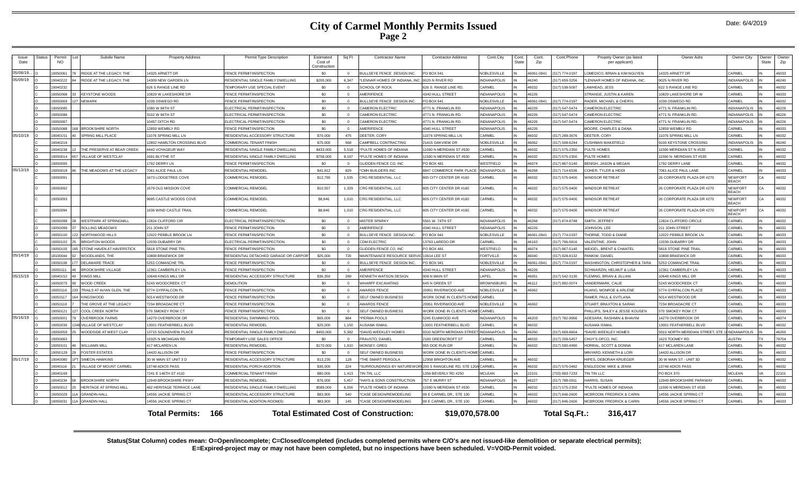| Issue<br>Date | <b>Status</b> | Permit<br><b>NO</b> | Subdiv Name                   | <b>Property Address</b>          | Permit Type Description               | Estimated<br>Cost of<br>Constructio | Sq Ft          | <b>Contractor Name</b>                                 | <b>Contractor Address</b>         | Cont.City           | Cont.<br>State | Cont<br>Zip | Cont.Phone         | Propety Owner (as listed<br>per applicant)       | Owner Adrs                      | Owner City                     | Owner<br>State | Owner<br>Zip |
|---------------|---------------|---------------------|-------------------------------|----------------------------------|---------------------------------------|-------------------------------------|----------------|--------------------------------------------------------|-----------------------------------|---------------------|----------------|-------------|--------------------|--------------------------------------------------|---------------------------------|--------------------------------|----------------|--------------|
| 05/08/19.     |               | 9050061             | RIDGE AT THE LEGACY. THE      | 4325 ARNETT DR                   | FENCE PERMIT/INSPECTION               | \$0                                 | $\overline{0}$ | BULLSEYE FENCE DESIGN INC.                             | PO BOX 941                        | <b>NOBLESVILLE</b>  |                | 46061-0941  | (317) 774-0197     | OMEDICO, BRIAN & KIM NGUYEN                      | 4325 ARNETT DR                  | CARMEL                         |                | 46033        |
| 05/09/19      |               | 19040222            | RIDGE AT THE LEGACY. THE      | 4309 NEW GARDEN LN               | RESIDENTIAL SINGLE FAMILY DWELLING    | \$200,000                           | 6,347          | LENNAR HOMES OF INDIANA, INC.                          | 9025 N RIVER RD                   | <b>INDIANAPOLIS</b> |                | 46240       | (317) 659-3256     | LENNAR HOMES OF INDIANA, INC.                    | 9025 N RIVER RD                 | INDIANAPOLIS                   |                | 46240        |
|               |               | 19040232            |                               | 626 S RANGE LINE RD              | <b>EMPORARY USE SPECIAL EVENT</b>     | \$0                                 | $\Omega$       | SCHOOL OF ROCK                                         | 626 S. RANGE LINE RD.             | CARMEL              |                | 46032       | (317) 538-5097     | LAWHEAD, JESS                                    | 322 S RANGE LINE RD             | CARMEL                         |                | 46032        |
|               |               | 9050068             | <b>KEYSTONE WOODS</b>         | 0829 W LAKESHORE DR              | FENCE PERMIT/INSPECTION               | \$0                                 | $\mathbf{0}$   | <b>MERIFENCE</b>                                       | 4340 HULL STREET                  | <b>INDIANAPOLIS</b> |                | 46226       |                    | STRANGE, JUSTIN & KAREN                          | 0829 LAKESHORE DR W             | <b>ARMEL</b>                   |                | 46033        |
|               |               | 19050069            | <b>NFWARK</b>                 | 039 OSWEGO RD                    | FENCE PERMIT/INSPECTION               | \$0                                 | $\sqrt{ }$     | BULLSEYE FENCE DESIGN INC.                             | <b>PO BOX 941</b>                 | <b>NOBLESVILLE</b>  |                | 46061-094   | (317) 774-0197     | RADER, MICHAEL & CHERYL                          | 039 OSWEGO RD                   | <b>ARMEI</b>                   |                | 46032        |
|               |               | 19050085            |                               | 580 W 96TH ST                    | ELECTRICAL PERMIT/INSPECTION          | \$0                                 | $\overline{0}$ | <b>CAMERON ELECTRIC</b>                                | 4771 N. FRANKLIN RD.              | <b>INDIANAPOLIS</b> |                | 46226       | (317) 547-5474     | <b>AMERON ELECTRIC</b>                           | 1771 N. FRANKLIN RD             | <b>INDIANAPOLIS</b>            |                | 46226        |
|               |               | 19050086            |                               | 102 W 96TH ST                    | ELECTRICAL PERMIT/INSPECTION          | \$0                                 | $\circ$        | <b>CAMERON ELECTRIC</b>                                | 4771 N. FRANKLIN RD               | <b>INDIANAPOLIS</b> |                | 46226       | (317) 547-5474     | AMERON ELECTRIC                                  | 1771 N. FRANKLIN RD             | <b>INDIANAPOLIS</b>            |                | 46226        |
|               |               | 19050087            |                               | 0457 DITCH RD                    | ELECTRICAL PERMIT/INSPECTION          | \$0                                 | $\Omega$       | <b>CAMERON ELECTRIC</b>                                | 4771 N. FRANKLIN RD               | <b>INDIANAPOLIS</b> |                | 46226       | (317) 547-5474     | <b>CAMERON ELECTRIC</b>                          | 4771 N. FRANKLIN RD             | <b>INDIANAPOLIS</b>            |                | 46226        |
|               |               | 9050088             | <b>BROOKSHIRF NORTH</b>       | 2859 WEMBLY RD                   | <b>FENCE PERMIT/INSPECTION</b>        | \$0                                 | $\Omega$       | AMERIFENCE                                             | 4340 HULL STREET                  | <b>INDIANAPOLIS</b> |                | 46226       |                    | MOORE, CHARLES & DANA                            | 2859 WEMBLY RD                  | ARMEL                          |                | 46033        |
| 05/10/19      |               | 19040151            | <b>SPRING MILL PLACE</b>      | 1076 SPRING MILL LN              | RESIDENTIAL ACCESSORY STRUCTURE       | \$70,000                            | 475            | DEETER, CORY                                           | 11076 SPRING MILL LN              | CARMEL              |                | 46032       | (317) 289-3676     | DEFTER, CORY                                     | 11076 SPRING MILL LN            | CARMEL                         |                | 46032        |
|               |               | 19040216            |                               | 2802 HAMILTON CROSSING BLVD      | COMMERCIAL TENANT FINISH              | \$75,000                            | 568            | CAMPBELL CONTRACTING                                   | 21415 OAKVIEW DR                  | NOBLESVILLE         |                | 46062       | $(317) 508 - 6244$ | CUSHMAN WAKEFIELD                                | <b>9100 KEYSTONE CROSSING</b>   | NDIANAPOLIS                    |                | 46240        |
|               |               | 19040238            | THE PRESERVE AT BEAR CREEK    | 4440 VOYAGEUR WAY                | RESIDENTIAL SINGLE FAMILY DWELLING    | \$433,000                           | 5.518          | PULTE HOMES OF INDIANA                                 | 11590 N MERIDIAN ST #530          | CARMEL              |                | 46032       | (317) 575-2350     | PULTE HOMES                                      | 1590 MERIDIAN ST N #530         | CARMEL                         |                | 46032        |
|               |               | 9050014             | VILLAGE OF WESTCLAY           | 691 BLYTHE ST                    | RESIDENTIAL SINGLE FAMILY DWELLING    | \$758,000                           | 8.197          | PULTE HOMES OF INDIANA                                 | 11590 N MERIDIAN ST #530          | CARMEL              |                | 46032       | (317) 575-2350     | PULTE HOMES                                      | 1590 N. MERIDIAN ST #530        | <b>ARMEL</b>                   |                | 46032        |
|               |               | 9050095             |                               | 792 DERRY LN                     | <b>FENCE PERMIT/INSPECTION</b>        | \$0                                 | $\Omega$       | GLIDDEN FENCE CO, INC                                  | PO BOX 481                        | WESTFIELD           |                | 46074       | (317) 867-5140     | BENISH, JASON & MEGAN                            | 792 DERRY LANE                  | <b>ARMEL</b>                   |                | 46032        |
| 05/13/19      |               | 9050018             | THE MEADOWS AT THE LEGACY     | 7061 ALICE PAUL LN               | RESIDENTIAL REMODEL                   | \$41,812                            | 829            | <b>CMH BUILDERS INC</b>                                | 8847 COMMERCE PARK PLAC           | <b>INDIANAPOLIS</b> |                | 46268       | (317) 714-6536     | COHER, TYLER & HEIDI                             | <b>7061 ALICE PAUL LANE</b>     | CARMEL                         |                | 46033        |
|               |               | 9050091             |                               | 673 LODGETREE COVE               | COMMERCIAL REMODEL                    | \$12,790                            | 1,535          | CRG RESIDENTIAL, LLC                                   | 805 CITY CENTER DR #160           | CARMEL              |                | 46032       | (317) 575-9400     | <b>VINDSOR RETREAT</b>                           | 26 CORPORATE PLAZA DR #270      | <b>NEWPORT</b><br><b>BEACH</b> | CA             | 46032        |
|               |               | 19050092            |                               | 1679 OLD MISSION COVE            | COMMERCIAL REMODEL                    | \$10,557                            | 1,329          | CRG RESIDENTIAL, LLC                                   | 805 CITY CENTER DR #160           | CARMEL              |                | 46032       | (317) 575-9400     | <b>WINDSOR RETREAT</b>                           | 26 CORPORATE PLAZA DR #270      | <b>NEWPORT</b><br><b>BEACH</b> | CA             | 46032        |
|               |               | 19050093            |                               | 9695 CASTLE WOODS COVE           | <b>COMMERCIAL REMODEL</b>             | \$8,846                             | 1,010          | CRG RESIDENTIAL, LLC                                   | 805 CITY CENTER DR #160           | CARMEL              |                | 46032       | (317) 575-9400     | <b>NINDSOR RETREAT</b>                           | 26 CORPORATE PLAZA DR #270      | <b>NEWPORT</b><br><b>BEACH</b> | ΓA.            | 46032        |
|               |               | 19050094            |                               | 1636 WIND CASTLE TRAIL           | <b>COMMERCIAL REMODEL</b>             | \$8,846                             | 1.010          | CRG RESIDENTIAL, LLC                                   | 805 CITY CENTER DR #160           | CARMEL              |                | 46032       | (317) 575-9400     | <b>WINDSOR RETREAT</b>                           | 26 CORPORATE PLAZA DR #270      | <b>NEWPORT</b><br><b>BEACH</b> | СA             | 46032        |
|               |               | 19050098            | <b>WESTPARK AT SPRINGMILL</b> | 12824 CLIFFORD CIR               | ELECTRICAL PERMIT/INSPECTION          | \$0                                 | $\Omega$       | <b>MISTER SPARKY</b>                                   | 5561 W. 74TH ST                   | <b>INDIANAPOLIS</b> |                | 46268       | (317) 874-8748     | SMITH, JEFFREY                                   | 12824 CLIFFORD CIRCLE           | CARMEL                         |                | 46032        |
|               |               | 19050099            | ROLLING MEADOWS               | 211 JOHN ST                      | FENCE PERMIT/INSPECTION               | \$0                                 | $\Omega$       | AMERIFENCE                                             | 4340 HULL STREET                  | <b>INDIANAPOLIS</b> |                | 46226       |                    | JOHNSON, LEE                                     | 11 JOHN STREET                  | CARMEL                         |                | 46032        |
|               |               | 9050100             | NORTHWOOD HILLS               | 2022 PEBBLE BROOK LN             | FENCE PERMIT/INSPECTION               | \$0                                 | $\Omega$       | <b>BULLSEYE FENCE DESIGN INC.</b>                      | PO BOX 941                        | NOBLESVILLE         |                | 46061-0941  | (317) 774-0197     | <b>THORNE, TODD &amp; DIANE</b>                  | 12022 PEBBLE BROOK LN           | CARMEL                         |                | 46033        |
|               |               | 9050102             | <b>BRIGHTON WOODS</b>         | 2039 DUBARRY DR                  | ELECTRICAL PERMIT/INSPECTION          | \$0                                 | $\Omega$       | CDM ELECTRIC                                           | 13763 LAREDO DR                   | CARMEL              |                | 46163       | (317) 796-5816     | ALENTINE. JOHN                                   | 2039 DUBARRY DR                 | CARMEL                         |                | 46033        |
|               |               | 9050105             | STONE HAVEN AT HAVERSTICK     | 5818 STONE PINE TRL              | <b>FENCE PERMIT/INSPECTION</b>        | \$0                                 | $\Omega$       | <b>GLIDDEN FENCE CO. INC</b>                           | <b>PO BOX 481</b>                 | WESTFIELD           |                | 46074       | (317) 867-5140     | <b>WEIGEL, BRENT &amp; CHANTEL</b>               | <b>5818 STONE PINE TRAI</b>     | CARMEL                         |                | 46033        |
| 05/14/19      |               | 8100044             | WOODLANDS, THE                | 0808 BRAEWICK DR                 | RESIDENTIAL DETACHED GARAGE OR CARPOR | \$25,000                            | 720            | MAINTENANCE RESOURCE SERVIC 10614 LEE ST               |                                   | <b>FORTVILLE</b>    |                | 46040       | (317) 828-8132     | PANKIW, DANIEI                                   | 0808 BRAEWICK DF                | CARMEL                         |                | 46033        |
|               |               | 19050108            | DELAWARE TRACE                | 5253 COMANCHE TRI                | FENCE PERMIT/INSPECTION               | \$0                                 | $\Omega$       | BULLSEYE FENCE DESIGN INC.                             | PO BOX 941                        | <b>NOBLESVILLE</b>  |                | 46061-094   | (317) 774-0197     | <b><i>NASHINGTON, CHRISTOPHER &amp; TARA</i></b> | 5253 COMANCHE TRAIL             | CARMEI                         |                | 46033        |
|               |               | 9050111             | <b>BROOKSHIRE VILLAGE</b>     | 2361 CAMBERLEY LN                | FENCE PERMIT/INSPECTION               | \$0                                 | $\Omega$       | AMERIFENCE                                             | 4340 HULL STREET                  | <b>INDIANAPOLIS</b> |                | 46226       |                    | SCHWARZIN, HELMUT & LISA                         | 2361 CAMBERLEY LN               | CARMEL                         |                | 46033        |
| 05/15/19      |               | 19040152            | <b>KINGS MILL</b>             | 0648 KINGS MILL DR               | RESIDENTIAL ACCESSORY STRUCTURE       | \$36,350                            | 289            | KENNETH WATSON DESIGN                                  | 908 N MAIN ST                     | LAPEL               |                | 46051       | (317) 542-3130     | FLEMING, BRIAN & JILLIAN                         | 0648 KINGS MILL DR              | <b>ARMEL</b>                   |                | 46032        |
|               |               | 9050075             | <b>WOOD CREEK</b>             | 243 WOODCREEK CT                 | <b>DEMOLITION</b>                     | \$0                                 | $^{\circ}$     | <b>VHARFF EXCAVATING</b>                               | 645 N GREEN ST                    | <b>BROWNSBURG</b>   |                | 46112       | (317) 892-0074     | VANDERMARK, CALIE                                | 5243 WOODCREEK CT               | <b>ARMEL</b>                   |                | 46033        |
|               |               | 9050116             | TRAILS AT AVIAN GLEN. THE     | 5774 GYRFALCON PL                | <b>FENCE PERMIT/INSPECTION</b>        | \$0                                 | $\Omega$       | AWARDS FENCE                                           | 20951 RIVERWOOD AVE               | NOBLESVILLE         |                | 46062       |                    | <b>UANG, MONROE &amp; ARLENE</b>                 | 774 GYRFALCON PLAC              | ARMF:                          |                | 46033        |
|               |               | 1905011             | <b>KINGSWOOD</b>              | 5014 WESTWOOD DR                 | FENCE PERMIT/INSPECTION               | \$0                                 | $\Omega$       | SELF OWNED BUSINESS                                    | WORK DONE IN CLIENTS HOME! CARMEL |                     |                |             |                    | <b>RAMER, PAUL &amp; SVITLANA</b>                | 5014 WESTWOOD DE                | CARMEL                         |                | 46033        |
|               |               | 19050118            | THE GROVE AT THE LEGACY       | 7234 BROADACRE CT                | FENCE PERMIT/INSPECTION               | \$0                                 | $\Omega$       | <b>AWARDS FENCE</b>                                    | 20951 RIVERWOOD AVE               | <b>NOBLESVILLE</b>  |                | 46062       |                    | STUART, BRAXTON & SARAH                          | 7234 BROADACRE CT               | CARMEL                         |                | 46033        |
|               |               | 19050121            | <b>COOL CREEK NORTH</b>       | 570 SMOKEY ROW CT                | FENCE PERMIT/INSPECTION               | \$0                                 | $\Omega$       | SELF OWNED BUSINESS                                    | WORK DONE IN CLIENTS HOME CARMEL  |                     |                |             |                    | PHILLIPS, SHLEY & JESSE KOUSEN                   | 70 SMOKEY ROW CT                | CARMEL                         |                | 46033        |
| 05/16/19      |               | 9050001             | <b>OVERBROOK FARMS</b>        | 4279 OVERBROOK DR                | RESIDENTIAL SWIMMING POOL             | \$65,000                            | 884            | PERMA POOLS                                            | 5245 ELMWOOD AVE                  | <b>INDIANAPOLIS</b> |                | 46203       | (317) 782-9956     | ADESARA, RASHMIN & BHAVINI                       | 14279 OVERBROOK DR              | CARMEL                         |                | 46074        |
|               |               | 19050036            | <b>VILLAGE OF WESTCLAY</b>    | 3001 FEATHERBELL BLVD            | RESIDENTIAL REMODEL                   | \$25,000                            | 1.150          | <b>USAMA ISMAIL</b>                                    | 13001 FEATHERBELL BLVD            | CARMEL              |                | 46032       |                    | <b>USAMA ISMAIL</b>                              | 13001 FEATHERBELL BLVD          | <b>ARMEL</b>                   |                | 46032        |
|               |               | 19050059            | WOODSIDE AT WEST CLAY         | 3715 SOUNDVIEW PLACE             | RESIDENTIAL SINGLE FAMILY DWELLING    | \$450,000                           | 5.382          | DAVID WEEKLEY HOMES                                    | 9310 NORTH MERIDIAN STREE         | INDIANAPOLIS        |                | 46260       | (317) 669-8604     | *DAVID WEEKLEY HOMES                             | 3310 NORTH MERIDIAN STREET, STE | <b>INDIANAPOLIS</b>            |                | 46260        |
|               |               | 19050063            |                               | 0325 N MICHIGAN RD               | <b>TEMPORARY USE SALES OFFICE</b>     | \$0                                 | $\Omega$       | <b>FRAUSTO, DANIEL</b>                                 | 2183 GREENCROFT ST                | CARMEL              |                | 46032       | (317) 209-5457     | CHUY'S OPCO, INC.                                | 1623 TOOMEY RD                  | AUSTIN                         | <b>TX</b>      | 78704        |
|               |               | 19050101            | <b>WILLIAMS MILL</b>          | 17 MCLAREN LN                    | <b>RESIDENTIAL REMODEI</b>            | \$170,000                           | 1.910          | MONSEY, GREG                                           | 955 DOE RUN DR                    | CARMEL              | IN             | 46032       | (317) 590-4990     | HORRAL, SCOTT & DONNA                            | 17 MCLAREN LANE                 | CARMEL                         |                | 46032        |
|               |               | 19050129            | <b>FOSTER ESTATES</b>         | 4420 ALLISON DR                  | FENCE PERMIT/INSPECTION               | \$0                                 | $\Omega$       | SELF OWNED BUSINESS                                    | WORK DONE IN CLIENTS HOME CARMEL  |                     |                |             |                    | MINYARD, KENNETH & LORI                          | 4420 ALLISON DR                 | CARMEL                         |                | 46033        |
| 05/17/19      |               | 19040080            | SIMEON HAWKINS                | 30 W MAIN ST UNIT 3 D            | RESIDENTIAL ACCESSORY STRUCTURE       | \$13,235                            | 128            | THE SMART PERGOLA                                      | 12958 BRIGHTON AVE                | CARMEL              |                | 46032       |                    | <b>IIPES. DEBORAH KRUEGER</b>                    | 0 W MAIN ST - UNIT 3D           | CARMEL                         |                | 46032        |
|               |               | 9040116             | VILLAGE OF MOUNT CARMEL       | 3748 ADIOS PASS                  | RESIDENTIAL PORCH ADDITION            | \$30,000                            | 224            | SURROUNDINGS BY NATUREWORL 200 S RANGELINE RD. STE 120 |                                   | <b>JA CARMEL</b>    |                | 46032       | (317) 575-0482     | ENGLEDOW, MIKE & JENNI                           | 3748 ADIOS PASS                 | ARMEI                          |                | 46032        |
|               |               | 19040169            |                               | 7241 E 146TH ST #110             | <b>COMMERCIAL TENANT FINISH</b>       | \$80,000                            | 1.413          | <b>IN TIN, LLC</b>                                     | 1356 BEVERLY RD #250              | <b>MCLEAN</b>       | <b>VA</b>      | 22101       | (703) 893-7233     | IN TIN LLC                                       | PO BOX 370                      | <b>MCLEAN</b>                  |                | 22101        |
|               |               | 1904023             | <b>BROOKSHIRE NORTH</b>       | 2949 BROOKSHIRF PKWY             | RESIDENTIAL REMODE                    | \$76,000                            | 5.457          | HAYS & SONS CONSTRUCTION                               | 757 E MURRY ST                    | <b>INDIANAPOLIS</b> |                | 46227       | (317) 788-0911     | <b>HARRIS, SUSAN</b>                             | 2949 BROOKSHIRE PARKWAY         | CARMEL                         |                | 46033        |
|               |               | 19050012            | HERITAGE AT SPRING MILL       | <b>482 HERITAGE TERRACE LANE</b> | RESIDENTIAL SINGLE FAMILY DWELLING    | \$589,000                           | 6.056          | PULTE HOMES OF INDIANA                                 | 11590 N MERIDIAN ST #530          | CARMEL              |                | 46032       | (317) 575-2350     | PULTE HOMES OF INDIANA                           | 1590 N MERIDIAN ST #530         | CARMEL                         |                | 46032        |
|               |               | 9050029             | <b>GRANDIN HALL</b>           | 4556 JACKIE SPRING CT            | RESIDENTIAL ACCESSORY STRUCTURE       | \$83,900                            | 540            | 'CASE DESIGN/REMODELING                                | 99 E CARMEL DR., STE 100          | CARMEL              |                | 46032       | (317) 846-2600     | MCBROOM, FREDRICK & CARIN                        | 4556 JACKIE SPRING CT           | CARMEL                         |                | 46033        |
|               |               | 9050031             | <b>GRANDIN HAI</b>            | 4556 JACKIE SPRING CT            | RESIDENTIAL ADDITION-ROOM(S           | \$83,900                            | 145            | CASE DESIGN/REMODELING                                 | 99 E CARMEL DR., STE 100          | CARMEL              |                | 46032       | (317) 846-2600     | MCBROOM, FREDRICK & CARIN                        | 4556 JACKIE SPRING CT           | <b>CARMEL</b>                  |                | 46033        |
|               |               |                     |                               | 166<br><b>Total Permits:</b>     |                                       |                                     |                | <b>Total Estimated Cost of Construction:</b>           | \$19,070,578.00                   |                     |                |             | Total Sq.Ft.:      | 316.417                                          |                                 |                                |                |              |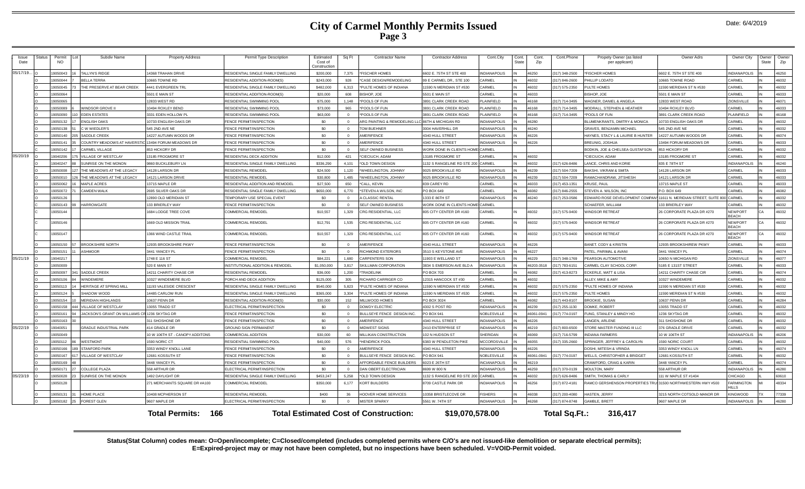|  | Date: 6/4/2019 |
|--|----------------|
|--|----------------|

| <b>Issue</b><br>Date                                                                                                        | Status | Permit<br>NO       | Subdiv Name                                   | <b>Property Address</b>                           | Permit Type Description                                  | Estimated<br>Cost of<br>Constructio | Sq Ft                | <b>Contractor Name</b>                           | <b>Contractor Address</b>                       | Cont.City                    | Cont.<br>State | Cont.<br>Zip   | Cont.Phone                      | Propety Owner (as listed<br>per applicant)                         | Owner Adrs                                         | Owner City                          | Owner<br>State | Owner<br>Zip   |
|-----------------------------------------------------------------------------------------------------------------------------|--------|--------------------|-----------------------------------------------|---------------------------------------------------|----------------------------------------------------------|-------------------------------------|----------------------|--------------------------------------------------|-------------------------------------------------|------------------------------|----------------|----------------|---------------------------------|--------------------------------------------------------------------|----------------------------------------------------|-------------------------------------|----------------|----------------|
| 05/17/19.                                                                                                                   |        | 050043             | <b>TALLYN'S RIDGE</b>                         | <b>4368 TRAHAN DRIVE</b>                          | ESIDENTIAL SINGLE FAMILY DWELLING                        | \$200,000                           | 7,375                | <b>FISCHER HOMES</b>                             | 602 E. 75TH ST STE 400                          | <b>NDIANAPOLIS</b>           |                | 16250          | 317) 348-2500                   | <b>FISCHER HOMES</b>                                               | 602 E. 75TH ST STE 400                             | <b>INDIANAPOLIS</b>                 |                | 46250          |
|                                                                                                                             |        | 9050044            | <b>BELLA TERRA</b>                            | 0665 TOWNE RD                                     | RESIDENTIAL ADDITION-ROOM(S                              | \$243,000                           | 928                  | *CASE DESIGN/REMODELING                          | 99 E CARMEL DR., STE 100                        | ARMEI                        |                | 46032          | (317) 846-2600                  | <b>PHILLIP LODATO</b>                                              | 0665 TOWNE ROAD                                    | CARMEL                              |                | 46032          |
|                                                                                                                             |        | 9050045            | THE PRESERVE AT BEAR CREEK                    | <b>4441 EVERGREEN TRI</b>                         | RESIDENTIAL SINGLE FAMILY DWELLING                       | \$482,000                           | 6.313                | *PULTE HOMES OF INDIANA                          | 1590 N MERIDIAN ST #530                         | ARMEI                        | IN             | 46032          | (317) 575-2350                  | PULTE HOMES                                                        | 1590 MERIDIAN ST N #530                            | CARMEL                              |                | 46032          |
|                                                                                                                             |        | 9050064            |                                               | 5501 E MAIN ST                                    | RESIDENTIAL ADDITION-ROOM(S                              | \$20,000                            | 608                  | <b>SISHOP, JOE</b>                               | 5501 E MAIN ST                                  | ARMEL                        | IN             | 46033          |                                 | BISHOP, JOE                                                        | 5501 E MAIN ST                                     | CARMEL                              |                | 46033          |
|                                                                                                                             |        | 9050065            |                                               | <b>2833 WEST RD</b>                               | RESIDENTIAL SWIMMING POOL                                | \$75,000                            | 1.148                | POOLS OF FUN                                     | <b>8891 CLARK CREEK ROAD</b>                    | <b>LAINFIELD</b>             |                | 46168          | (317) 714-3495                  | <b>WAGNER, DANIEL &amp; ANGELA</b>                                 | 2833 WEST ROAD                                     | ZIONSVILLI                          |                | 46071          |
|                                                                                                                             |        | 9050089            | WINDSOR GROVE II                              | 0494 ROXLEY BEND                                  | RESIDENTIAL SWIMMING POOL                                | \$73,000                            | 965                  | POOLS OF FUN                                     | 3891 CLARK CREEK ROAD                           | <b>I AINFIFI D</b>           |                | 46168          | 317) 714-3495                   | MODRALL, STEPHEN & HEATHER                                         | 0494 ROXLEY BLVD                                   | CARMEL                              |                | 46033          |
|                                                                                                                             |        | 9050090            | <b>EDEN ESTATES</b>                           | 3331 EDEN HOLLOW PL                               | RESIDENTIAL SWIMMING POOL                                | \$63,000                            | $\overline{0}$       | *POOLS OF FUN                                    | <b>891 CLARK CREEK ROAD</b>                     | <b>LAINFIELD</b>             |                | 46168          | (317) 714-3495                  | POOLS OF FUN                                                       | <b>891 CLARK CREEK ROAD</b>                        | PLAINFIELD                          |                | 46168          |
|                                                                                                                             |        | 9050132            | <b>ENGLISH OAKS</b>                           | 0733 ENGLISH OAKS DR                              | <b>ENCE PERMIT/INSPECTION</b>                            | \$0                                 | $\Omega$             | ARG PAINTING & REMODELING LLC 86TH & MICHIGAN RD |                                                 | NDIANAPOLIS                  |                | 46280          |                                 | <b>BLUMENKRANTS, DMITRY &amp; MONICA</b>                           | 0733 ENGLISH OAKS DR                               | CARMEL                              |                | 46032          |
|                                                                                                                             |        | 9050138            | C W WIEDLER'S                                 | 545 2ND AVE NE                                    | <b>ENCE PERMIT/INSPECTION</b>                            | \$0                                 | $\Omega$             | TOM BUEHNER                                      | <b>3004 HAVERHILL DR</b>                        | <b>NDIANAPOLIS</b>           |                | 46240          |                                 | <b>GRAVES, BENJAMIN MICHAEL</b>                                    | <b>545 2ND AVE NE</b>                              | CARMEL                              |                | 46032          |
|                                                                                                                             |        | 9050140            | SADDLE CREEK                                  | 4227 AUTUMN WOODS DR                              | <b>ENCE PERMIT/INSPECTION</b>                            | \$0                                 | $\Omega$             | AMERIFENCE                                       | 4340 HULL STREET                                | <b>NDIANAPOLIS</b>           |                | 46226          |                                 | HAYNES, STACY L & LAURIE B HUNTER                                  | 4227 AUTUMN WOODS DR                               | CARMEL                              |                | 46074          |
|                                                                                                                             |        | 9050141            | COUNTRY MEADOWS AT HAVERSTIC                  | 13494 FORUM MEADOWS DR                            | ENCE PERMIT/INSPECTION                                   | \$0                                 | $\Omega$             | AMERIFENCE                                       | <b>1340 HULL STREET</b>                         | <b>NDIANAPOLIS</b>           |                | 46226          |                                 | BREUNIG, JOSHUA                                                    | 3494 FORUM MEADOWS DR                              | CARMEL                              |                | 46033          |
|                                                                                                                             |        | 050142             | <b>CARMEL VILLAGE</b>                         | 53 HICKORY DR                                     | <b>ENCE PERMIT/INSPECTION</b>                            | \$0                                 | $\Omega$             | SELF OWNED BUSINESS                              | <b><i>NORK DONE IN CLIENTS HOM</i></b>          | CARMEL                       |                |                |                                 | <b>3ODKIN, JOE &amp; CHELSEA GUSTAFSON</b>                         | 353 HICKORY DR                                     | CARMEL                              |                | 46032          |
| 05/20/19                                                                                                                    |        | 9040206            | <b>VILLAGE OF WESTCLAY</b>                    | 3185 FROGMORE ST                                  | RESIDENTIAL DECK ADDITION                                | \$12,000                            | 421                  | <b>CIECIUCH, ADAM</b>                            | 3185 FROGMORE ST                                | ARMEL                        |                | 46032          |                                 | CIECIUCH, ADAM                                                     | 3185 FROGMORE ST                                   | CARMEL                              |                | 46032          |
|                                                                                                                             |        | 0040247            | SUNRISE ON THE MONON                          | 860 BUCKLEBURY LN                                 | RESIDENTIAL SINGLE FAMILY DWELLING                       | \$336,290                           | 4 101                | *OLD TOWN DESIGN                                 | 132 S RANGELINE RD STE 20                       | ARMFI                        |                | 46032          | (317) 626-8486                  | ANCE, CHRIS AND KORIE                                              | <b>B35 E 78TH ST</b>                               | INDIANAPOLIS                        |                | 46240          |
|                                                                                                                             |        | 9050008            | THE MEADOWS AT THE LEGACY                     | 4128 LARSON DF                                    | RESIDENTIAL REMODEL                                      | \$24,500                            | 1.120                | 'WHEELINGTON, JOHNNY                             | 025 BROOKVILLE RD                               | <b>NDIANAPOLIS</b>           |                | 46239          | (317) 504-7209                  | BAKSHI, VIKRAM & SMITA                                             | 14128 LARSON DR                                    | CARMEL                              |                | 46033          |
|                                                                                                                             |        | 9050010            | THE MEADOWS AT THE LEGACY                     | 4121 LARSON DRIVE                                 | RESIDENTIAL REMODEL                                      | \$30,800                            | 1.485                | WHEELINGTON, JOHNNY                              | 025 BROOKVILLE RD                               | NDIANAPOLIS                  |                | 46239          | (317) 504-7209                  | RAMACHANDRAW, JITSHESH                                             | 14121 LARSON DR                                    | CARMEI                              |                | 46033          |
|                                                                                                                             |        | 9050062            | MAPI E ACRES                                  | 3715 MAPLE DR                                     | RESIDENTIAL ADDITION AND REMODEL                         | \$27,500                            | 650                  | *CALL, KEVIN                                     | 339 CAREY RD                                    | ARMEL                        |                | 46033          | (317) 453-1351                  | KRUSE, PAUL                                                        | 3715 MAPLE ST                                      | CARMEL                              |                | 46033          |
|                                                                                                                             |        | 9050072            | <b>CAMDEN WALK</b>                            | <b>2695 SILVER OAKS DR</b>                        | RESIDENTIAL SINGLE FAMILY DWELLING                       | \$650,000                           | 6.770                | *STEVEN A WILSON, INC                            | PO BOX 649                                      | CARMEL                       |                | 16082          | (317) 846-2555                  | STEVEN A. WILSON, INC.                                             | P.O. BOX 649                                       | CARMEI                              |                | 46082          |
|                                                                                                                             |        | 9050126            |                                               | 2890 OLD MERIDIAN ST                              | <b><i>TEMPORARY USE SPECIAL EVENT</i></b>                | \$0                                 | $\sqrt{ }$           | A CLASSIC RENTAL                                 | 333 E 86TH ST                                   | NDIANAPOLIS                  |                | 46240          | (317) 253-0586                  | EDWARD ROSE DEVELOPMENT COMPA                                      | 11611 N. MERIDIAN STREET. SUITE 800 CARMEL         |                                     |                | 46032          |
|                                                                                                                             |        | 9050143            | <b>HARROWGATE</b>                             | 33 BRIERLEY WAY                                   | <b>ENCE PERMIT/INSPECTION</b>                            | \$0                                 | $\Omega$             | SELF OWNED BUSINESS                              | <b><i>NORK DONE IN CLIENTS HOME</i></b>         | CARMEL                       |                |                |                                 | <b>SCHAEFER, WILLIAM</b>                                           | 33 BRIERLEY WAY                                    | CARMEL                              |                | 46032          |
|                                                                                                                             |        | 19050144           |                                               | 684 LODGE TREE COVE                               | <b>COMMERCIAL REMODEL</b>                                | \$10,557                            | 1,329                | CRG RESIDENTIAL, LLC                             | 305 CITY CENTER DR #160                         | CARMEL                       |                | 46032          | (317) 575-9400                  | <b><i>NINDSOR RETREAT</i></b>                                      | 26 CORPORATE PLAZA DR #270                         | NEWPOR <sup>®</sup><br><b>BEACH</b> | C.A            | 46032          |
|                                                                                                                             |        | 9050146            |                                               | 669 OLD MISSION TRAIL                             | <b>COMMERCIAL REMODEL</b>                                | \$12,791                            | 1,535                | CRG RESIDENTIAL, LLC                             | 305 CITY CENTER DR #160                         | CARMEL                       |                | 46032          | (317) 575-9400                  | <b>VINDSOR RETREAT</b>                                             | 26 CORPORATE PLAZA DR #270                         | NEWPOR <sup>®</sup><br>REACH        |                | 46032          |
|                                                                                                                             |        | 19050147           |                                               | 366 WIND CASTLE TRAIL                             | <b>COMMERCIAL REMODEL</b>                                | \$10,557                            | 1,329                | CRG RESIDENTIAL, LLC                             | 305 CITY CENTER DR #160                         | CARMEL                       |                | 46032          | (317) 575-9400                  | <b>VINDSOR RETREAT</b>                                             | 26 CORPORATE PLAZA DR #270                         | NEWPORT<br><b>SFACH</b>             | C.A            | 46032          |
|                                                                                                                             |        | 9050150            | <b>BROOKSHIRF NORTH</b>                       | 2935 BROOKSHIRF PKWY                              | FENCE PERMIT/INSPECTION                                  | \$0                                 | $\sqrt{2}$           | AMERIFENCE                                       | 4340 HULL STREET                                | <b>INDIANAPOLIS</b>          |                | 46226          |                                 | <b>BANET, CODY &amp; KRISTIN</b>                                   | 12935 BROOKSHIREW PKWY                             | CARMEL                              |                | 46033          |
|                                                                                                                             |        | 9050151            | <b>ASHMOOR</b>                                | 3441 YANCEY PL                                    | <b>ENCE PERMIT/INSPECTION</b>                            | \$0                                 | $\Omega$             | RICHMOND EXTERIORS                               | 3510 S KEYSTONE AVE                             | <b>INDIANAPOLIS</b>          |                | 46227          |                                 | PATEL, PARIMAL & AVANI                                             | 3441 YANCEY PL                                     | CARMEL                              |                | 46074          |
| 05/21/19                                                                                                                    |        | 9040217            |                                               | 748 E 116 ST                                      | COMMERCIAL REMODEL                                       | \$84,221                            | 1,680                | <b>CARPENTERS SON</b>                            | 1903 E WELLAND ST                               | NDIANAPOLIS                  |                | 46229          | (317) 348-1769                  | PEARSON AUTOMOTIVE                                                 | 0650 N MICHIGAN RD                                 | ZIONSVILLI                          |                | 46077          |
|                                                                                                                             |        | 9050009            |                                               | 520 F MAIN ST                                     | NSTITUTIONAL ADDITION & REMODEL                          | \$1,050,000                         | 3817                 | SKILLMAN CORPORATION                             | 3834 S EMERSON AVE BLD A                        | <b>NDIANAPOLIS</b>           |                | 16203-3518     | (317) 783-6151                  | CARMEL CLAY SCHOOL CORP.                                           | 185 E 131ST STREET                                 | CARMEL                              |                | 46033          |
|                                                                                                                             |        | 9050097            | SADDLE CREEK                                  | 4211 CHARITY CHASE CIR                            | <b>ESIDENTIAL REMODEL</b>                                | \$36,000                            | 1.200                | TRADELINK                                        | PO BOX 703                                      | <b>ARMEL</b>                 |                | 16082          | 317) 413-8273                   | ECKERLE, MATT & LISA                                               | 4211 CHARITY CHASE CIR                             | CARMEL                              |                | 46074          |
|                                                                                                                             |        | 905010             | WINDEMERE                                     | 0327 WINDEMERE BLVD                               | ORCH AND DECK ADDITION                                   | \$125,000                           | 305                  | RICHARD CARRIGER CO                              | 2315 HANCOCK ST #30                             | ARMF                         |                | 26032          |                                 | <b>ILLEY, MIKE &amp; AMY</b>                                       | 0327 WINDEMERE                                     | CARMEL                              |                | 46032          |
|                                                                                                                             |        | 9050113            | <b>HERITAGE AT SPRING MILL</b>                | 1193 VALESIDE CRESCENT                            | RESIDENTIAL SINGLE FAMILY DWELLING                       | \$540,000                           | 5.823                | *PULTE HOMES OF INDIANA                          | 1590 N MERIDIAN ST #530                         | ARMFI                        | IN             | 46032          | (317) 575-2350                  | *PULTE HOMES OF INDIANA                                            | 1590 N MERIDIAN ST #530                            | CARMEL                              |                | 46032          |
|                                                                                                                             |        | 9050124            | SHADOW WOOD                                   | 4485 CARLOW RUN                                   | RESIDENTIAL SINGLE FAMILY DWELLING                       | \$365,000                           | 3.304                | PULTE HOMES OF INDIANA                           | 1590 N MERIDIAN ST #530                         | CARMEL                       | IN             | 46032          | (317) 575-2350                  | PULTE HOMES                                                        | 1590 MERIDIAN ST N #530                            | CARMEL                              |                | 46032          |
|                                                                                                                             |        | 9050154            | MERIDIAN HIGHLANDS                            | 0637 PENN DR                                      | RESIDENTIAL ADDITION-ROOM(S)                             | \$30,000                            | 152                  | MILLWOOD HOMES                                   | PO BOX 3024                                     | ARMEL                        |                | 46082          | (317) 443-8107                  | <b>BROOKIE, SUSAN</b>                                              | 10637 PENN DR                                      | CARMEL                              |                | 46284          |
|                                                                                                                             |        | 9050158            | <b>VILLAGE OF WESTCLAY</b>                    | 3055 TRADD ST                                     | LECTRICAL PERMIT/INSPECTION                              | \$0                                 | $\Omega$             | DOWDY ELECTRIC                                   | 1302 S POST RD                                  | <b>NDIANAPOLIS</b>           |                | 16239          | (317) 255-1130                  | DOMKE, ROBERT                                                      | 3055 TRADD ST                                      | CARMEL                              |                | 46032          |
|                                                                                                                             |        | 905016<br>9050163  | JACKSON'S GRANT ON WILLIAMS CR 1236 SKYTAG DR |                                                   | <b>ENCE PERMIT/INSPECTION</b>                            | \$0                                 | $\Omega$<br>$\Omega$ | BULLSEYE FENCE DESIGN INC.                       | PO BOX 941                                      | NOBLESVILLE                  |                | 46061-0941     | 317) 774-0197                   | FUNG, STANLEY & MINDY HO                                           | 1236 SKYTAG DF                                     | CARMEL<br>CARMEL                    |                | 46032          |
|                                                                                                                             |        |                    |                                               | 311 SHOSHONE DR                                   | <b>ENCE PERMIT/INSPECTION</b>                            | \$0                                 |                      | AMERIFENCE                                       | <b>1340 HULL STREET</b>                         | <b>INDIANAPOLIS</b>          |                | 46226          |                                 | ANGEN, ARLENE                                                      | 311 SHOSHONE DR                                    |                                     |                | 46032          |
| 05/22/19                                                                                                                    |        | 9040051            | <b>GRADLE INDUSTRIAL PARK</b>                 | 414 GRADLE DR                                     | <b>GROUND SIGN PERMANENT</b>                             | \$0                                 |                      | <b>MIDWEST SIGNS</b>                             | 2410 ENTERPRISE ST                              | <b>INDIANAPOLIS</b>          |                | 46219          | (317) 800-6500                  | STORE MASTER FUNDING III LLC                                       | 376 GRADLE DRIVE                                   | CARMEL                              |                | 46032          |
|                                                                                                                             |        | 9050049            |                                               | 0 W 106TH ST - CANOPY ADDITONS                    | COMMERCIAL ADDITION                                      | \$30,000                            | 60                   | MILLIKAN CONSTRUCTION                            | 102 N HUDSON ST                                 | SHERIDAN                     |                | 46069          | (317) 716-5799                  | <b>NDIANA FARMERS</b>                                              | 0 W 106TH ST                                       | <b>INDIANAPOLIS</b>                 |                | 46206          |
|                                                                                                                             |        | 9050112            | WESTMONT                                      | 590 NORIC CT                                      | <b>ESIDENTIAL SWIMMING POOL</b>                          | \$40,000                            | 576                  | <b>HENDRICK POOL</b>                             | 383 W PENDLETON PIKE                            | <b>MCCORDSVILLE</b>          |                | 46055          | 317) 335-2660                   | SPRINGER, JEFFREY & CAROLYN                                        | 590 NORIC COURT                                    | CARMEL                              |                | 46032          |
|                                                                                                                             |        | 9050166            | <b>STANFORD PARK</b>                          | 3353 WINDY KNOLL LANE                             | <b>ENCE PERMIT/INSPECTION</b>                            | sn                                  | $\Omega$             | AMERIFENCE                                       | 1340 HULL STREET                                | <b>NDIANAPOLIS</b>           |                | 16226          |                                 | DOSHI, MITESH & VRINDA                                             | 3353 WINDY KNOLL LN                                | CARMEI<br>CARMEL                    |                | 46074          |
|                                                                                                                             |        | 9050167            | VILLAGE OF WESTCLAY                           | <b>2681 KOSSUTH ST</b>                            | ENCE PERMIT/INSPECTION                                   | \$0                                 | $\Omega$             | BULLSEYE FENCE DESIGN INC.                       | PO BOX 941                                      | NOBLESVILLE                  |                | 46061-0941     | 317) 774-0197                   | WELLS, CHRISTOPHER & BRIDGET                                       | 2681 KOSSUTH ST                                    |                                     |                | 46032          |
|                                                                                                                             |        | 9050169            |                                               | 448 YANCEY PI                                     | ENCE PERMIT/INSPECTION                                   | \$0                                 | $\Omega$<br>$\Omega$ | AFFORDABLE FENCE BUILDERS                        | 023 E 26TH ST                                   | <b>NCIANAPOLIS</b>           |                | 46219          |                                 | CRAWFORD, CRAIG & KARIN                                            | 3448 YANCEY PL                                     | CARMEL                              |                | 46074          |
|                                                                                                                             |        | 9050171            | <b>COLLEGE PLAZA</b>                          | 558 ARTHUR DR                                     | LECTRICAL PERMIT/INSPECTION                              | \$0                                 |                      | DAN OBERT ELECTRICIAN                            | 699 W 800 N                                     | <b>NDIANAPOLIS</b>           |                | 16259          | (317) 370-0139                  | <b>MOULTON, MARY</b>                                               | 558 ARTHUR DR                                      | <b>INDIANAPOLIS</b>                 |                | 46280          |
| 05/23/19                                                                                                                    |        | 9050028<br>9050128 | SUNRISE ON THE MONON                          | 492 DAYLIGHT DF                                   | RESIDENTIAL SINGLE FAMILY DWELLING<br>COMMERCIAL REMODEL | \$453,247<br>\$350,000              | 5.258<br>6.177       | OLD TOWN DESIGN<br>KORT BUILDERS                 | 132 S RANGELINE RD STE 20<br>709 CASTLE PARK DR | CARMEL<br><b>NDIANAPOLIS</b> |                | 16032<br>46256 | (317) 626-8486                  | <b>SMITH, THOMAS &amp; CARLY</b><br>RAMCO GERSHENSON PROPERTIES TR | 11 W MAPLE ST #1404<br>31500 NORTHWESTERN HWY #500 | CHICAGO<br>FARMINGTON               |                | 60610<br>48334 |
|                                                                                                                             |        | 9050131            | <b>HOME PLACE</b>                             | 71 MERCHANTS SQUARE DR #A100<br>0408 MCPHERSON ST | RESIDENTIAL REMODEL                                      | \$400                               | 36                   | HOOVER HOME SERVICES                             | 0358 BRISTLECOVE DR                             | <b>ISHERS</b>                |                | 46038          | 317) 872-4181<br>(317) 200-4080 | HASTEN, JERRY                                                      | 3215 NORTH COTSOLD MANOR DR                        | HILIS<br><b>INGWOOD</b>             |                | 77339          |
|                                                                                                                             |        | 9050182            |                                               |                                                   |                                                          |                                     | $\Omega$             |                                                  |                                                 | <b>NDIANAPOLIS</b>           |                |                |                                 |                                                                    |                                                    | <b>INDIANAPOLIS</b>                 |                |                |
|                                                                                                                             |        |                    | <b>FOREST GLEN</b>                            | 607 MAPLE DR                                      | ELECTRICAL PERMIT/INSPECTION                             | \$0                                 |                      | <b>MISTER SPARKY</b>                             | 5561 W. 74TH ST                                 |                              | IN             | 46268          | (317) 874-8748                  | GAMBLE, BRETT                                                      | 9607 MAPLE DR                                      |                                     |                | 46280          |
| 166<br><b>Total Estimated Cost of Construction:</b><br>\$19,070,578.00<br>Total Sq.Ft.:<br><b>Total Permits:</b><br>316,417 |        |                    |                                               |                                                   |                                                          |                                     |                      |                                                  |                                                 |                              |                |                |                                 |                                                                    |                                                    |                                     |                |                |